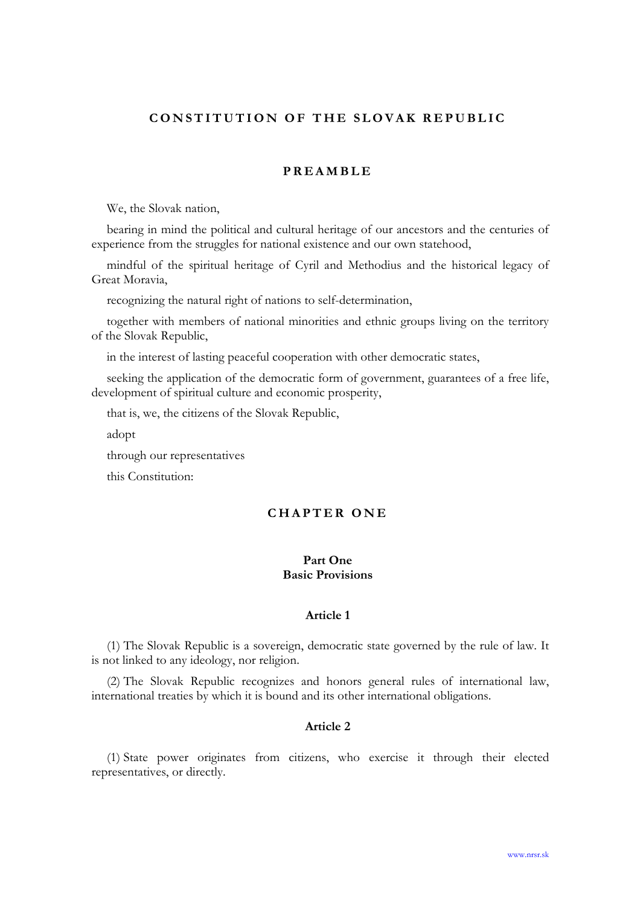# CONSTITUTION OF THE SLOVAK REPUBLIC

# **PREAMBLE**

We, the Slovak nation,

bearing in mind the political and cultural heritage of our ancestors and the centuries of experience from the struggles for national existence and our own statehood,

mindful of the spiritual heritage of Cyril and Methodius and the historical legacy of Great Moravia,

recognizing the natural right of nations to self-determination,

together with members of national minorities and ethnic groups living on the territory of the Slovak Republic,

in the interest of lasting peaceful cooperation with other democratic states,

seeking the application of the democratic form of government, guarantees of a free life, development of spiritual culture and economic prosperity,

that is, we, the citizens of the Slovak Republic,

adopt

through our representatives

this Constitution:

# CHAPTER ONE

# Part One Basic Provisions

### Article 1

(1) The Slovak Republic is a sovereign, democratic state governed by the rule of law. It is not linked to any ideology, nor religion.

(2) The Slovak Republic recognizes and honors general rules of international law, international treaties by which it is bound and its other international obligations.

# Article 2

(1) State power originates from citizens, who exercise it through their elected representatives, or directly.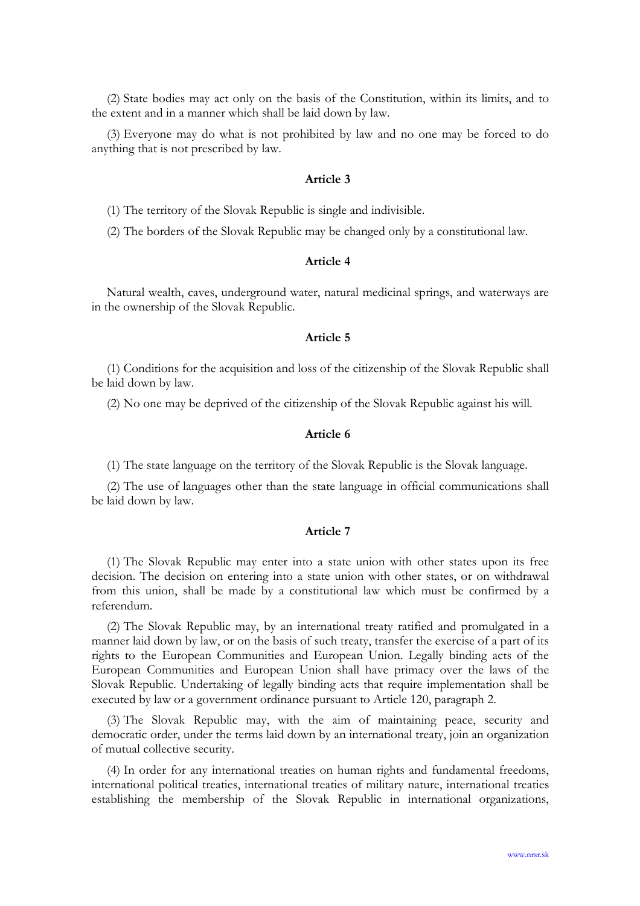(2) State bodies may act only on the basis of the Constitution, within its limits, and to the extent and in a manner which shall be laid down by law.

(3) Everyone may do what is not prohibited by law and no one may be forced to do anything that is not prescribed by law.

#### Article 3

(1) The territory of the Slovak Republic is single and indivisible.

(2) The borders of the Slovak Republic may be changed only by a constitutional law.

## Article 4

Natural wealth, caves, underground water, natural medicinal springs, and waterways are in the ownership of the Slovak Republic.

### Article 5

(1) Conditions for the acquisition and loss of the citizenship of the Slovak Republic shall be laid down by law.

(2) No one may be deprived of the citizenship of the Slovak Republic against his will.

## Article 6

(1) The state language on the territory of the Slovak Republic is the Slovak language.

(2) The use of languages other than the state language in official communications shall be laid down by law.

### Article 7

(1) The Slovak Republic may enter into a state union with other states upon its free decision. The decision on entering into a state union with other states, or on withdrawal from this union, shall be made by a constitutional law which must be confirmed by a referendum.

(2) The Slovak Republic may, by an international treaty ratified and promulgated in a manner laid down by law, or on the basis of such treaty, transfer the exercise of a part of its rights to the European Communities and European Union. Legally binding acts of the European Communities and European Union shall have primacy over the laws of the Slovak Republic. Undertaking of legally binding acts that require implementation shall be executed by law or a government ordinance pursuant to Article 120, paragraph 2.

(3) The Slovak Republic may, with the aim of maintaining peace, security and democratic order, under the terms laid down by an international treaty, join an organization of mutual collective security.

(4) In order for any international treaties on human rights and fundamental freedoms, international political treaties, international treaties of military nature, international treaties establishing the membership of the Slovak Republic in international organizations,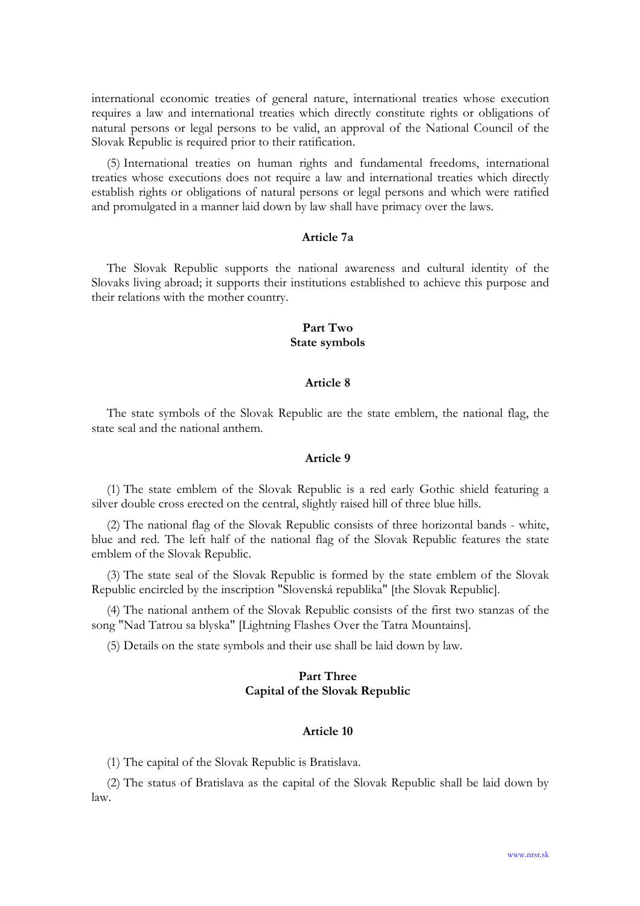international economic treaties of general nature, international treaties whose execution requires a law and international treaties which directly constitute rights or obligations of natural persons or legal persons to be valid, an approval of the National Council of the Slovak Republic is required prior to their ratification.

(5) International treaties on human rights and fundamental freedoms, international treaties whose executions does not require a law and international treaties which directly establish rights or obligations of natural persons or legal persons and which were ratified and promulgated in a manner laid down by law shall have primacy over the laws.

## Article 7a

The Slovak Republic supports the national awareness and cultural identity of the Slovaks living abroad; it supports their institutions established to achieve this purpose and their relations with the mother country.

## Part Two State symbols

## Article 8

The state symbols of the Slovak Republic are the state emblem, the national flag, the state seal and the national anthem.

## Article 9

(1) The state emblem of the Slovak Republic is a red early Gothic shield featuring a silver double cross erected on the central, slightly raised hill of three blue hills.

(2) The national flag of the Slovak Republic consists of three horizontal bands - white, blue and red. The left half of the national flag of the Slovak Republic features the state emblem of the Slovak Republic.

(3) The state seal of the Slovak Republic is formed by the state emblem of the Slovak Republic encircled by the inscription "Slovenská republika" [the Slovak Republic].

(4) The national anthem of the Slovak Republic consists of the first two stanzas of the song "Nad Tatrou sa blyska" [Lightning Flashes Over the Tatra Mountains].

(5) Details on the state symbols and their use shall be laid down by law.

# Part Three Capital of the Slovak Republic

#### Article 10

(1) The capital of the Slovak Republic is Bratislava.

(2) The status of Bratislava as the capital of the Slovak Republic shall be laid down by law.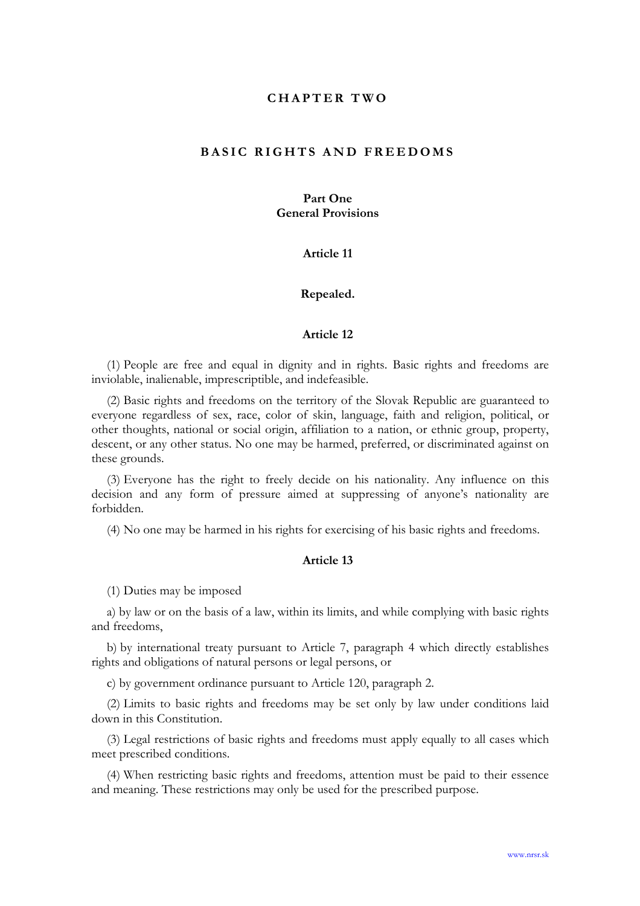## CHAPTER TWO

## BASIC RIGHTS AND FREEDOMS

# Part One General Provisions

### Article 11

#### Repealed.

### Article 12

(1) People are free and equal in dignity and in rights. Basic rights and freedoms are inviolable, inalienable, imprescriptible, and indefeasible.

(2) Basic rights and freedoms on the territory of the Slovak Republic are guaranteed to everyone regardless of sex, race, color of skin, language, faith and religion, political, or other thoughts, national or social origin, affiliation to a nation, or ethnic group, property, descent, or any other status. No one may be harmed, preferred, or discriminated against on these grounds.

(3) Everyone has the right to freely decide on his nationality. Any influence on this decision and any form of pressure aimed at suppressing of anyone's nationality are forbidden.

(4) No one may be harmed in his rights for exercising of his basic rights and freedoms.

## Article 13

(1) Duties may be imposed

a) by law or on the basis of a law, within its limits, and while complying with basic rights and freedoms,

b) by international treaty pursuant to Article 7, paragraph 4 which directly establishes rights and obligations of natural persons or legal persons, or

c) by government ordinance pursuant to Article 120, paragraph 2.

(2) Limits to basic rights and freedoms may be set only by law under conditions laid down in this Constitution.

(3) Legal restrictions of basic rights and freedoms must apply equally to all cases which meet prescribed conditions.

(4) When restricting basic rights and freedoms, attention must be paid to their essence and meaning. These restrictions may only be used for the prescribed purpose.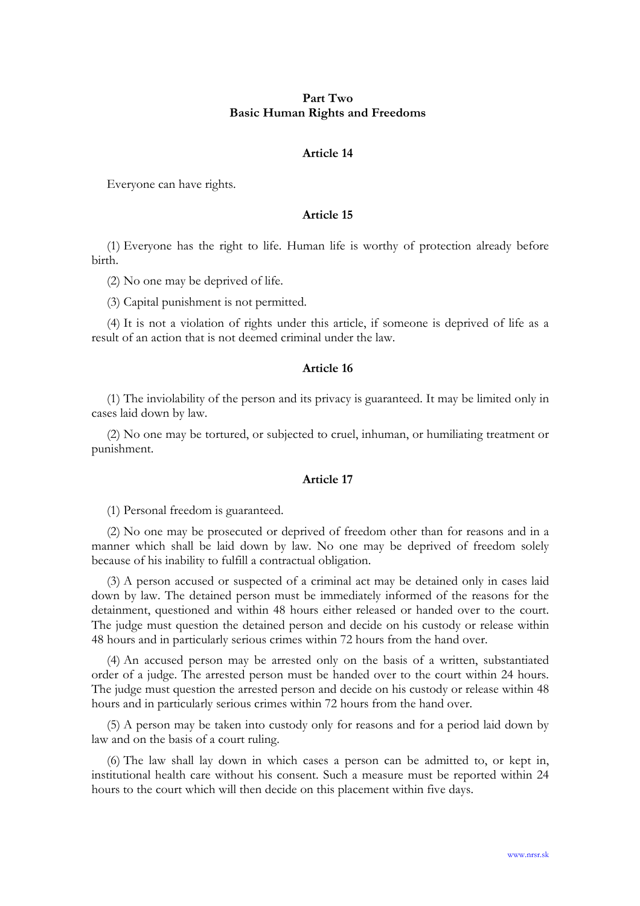## Part Two Basic Human Rights and Freedoms

### Article 14

Everyone can have rights.

### Article 15

(1) Everyone has the right to life. Human life is worthy of protection already before birth.

(2) No one may be deprived of life.

(3) Capital punishment is not permitted.

(4) It is not a violation of rights under this article, if someone is deprived of life as a result of an action that is not deemed criminal under the law.

#### Article 16

(1) The inviolability of the person and its privacy is guaranteed. It may be limited only in cases laid down by law.

(2) No one may be tortured, or subjected to cruel, inhuman, or humiliating treatment or punishment.

### Article 17

(1) Personal freedom is guaranteed.

(2) No one may be prosecuted or deprived of freedom other than for reasons and in a manner which shall be laid down by law. No one may be deprived of freedom solely because of his inability to fulfill a contractual obligation.

(3) A person accused or suspected of a criminal act may be detained only in cases laid down by law. The detained person must be immediately informed of the reasons for the detainment, questioned and within 48 hours either released or handed over to the court. The judge must question the detained person and decide on his custody or release within 48 hours and in particularly serious crimes within 72 hours from the hand over.

(4) An accused person may be arrested only on the basis of a written, substantiated order of a judge. The arrested person must be handed over to the court within 24 hours. The judge must question the arrested person and decide on his custody or release within 48 hours and in particularly serious crimes within 72 hours from the hand over.

(5) A person may be taken into custody only for reasons and for a period laid down by law and on the basis of a court ruling.

(6) The law shall lay down in which cases a person can be admitted to, or kept in, institutional health care without his consent. Such a measure must be reported within 24 hours to the court which will then decide on this placement within five days.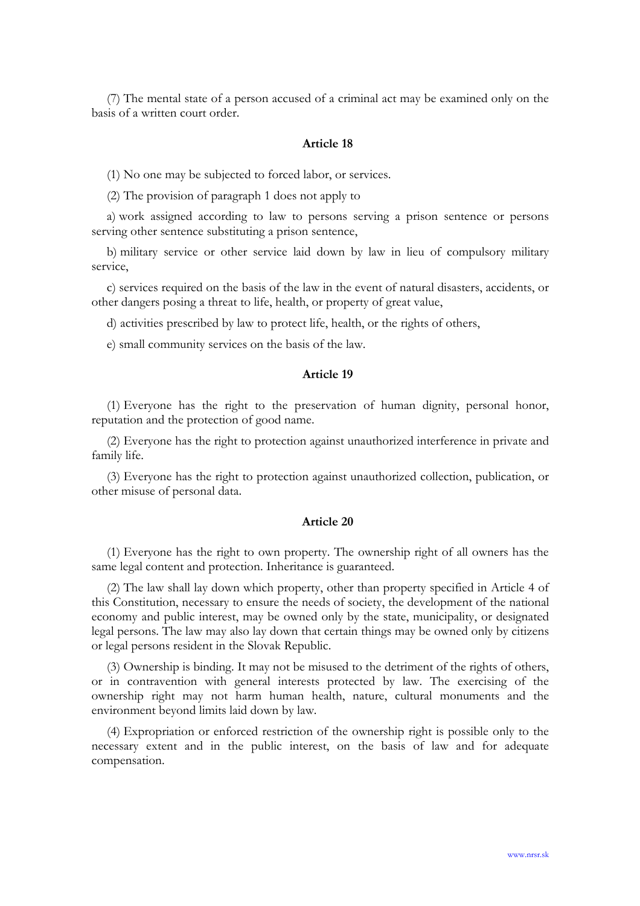(7) The mental state of a person accused of a criminal act may be examined only on the basis of a written court order.

### Article 18

(1) No one may be subjected to forced labor, or services.

(2) The provision of paragraph 1 does not apply to

a) work assigned according to law to persons serving a prison sentence or persons serving other sentence substituting a prison sentence,

b) military service or other service laid down by law in lieu of compulsory military service,

c) services required on the basis of the law in the event of natural disasters, accidents, or other dangers posing a threat to life, health, or property of great value,

d) activities prescribed by law to protect life, health, or the rights of others,

e) small community services on the basis of the law.

# Article 19

(1) Everyone has the right to the preservation of human dignity, personal honor, reputation and the protection of good name.

(2) Everyone has the right to protection against unauthorized interference in private and family life.

(3) Everyone has the right to protection against unauthorized collection, publication, or other misuse of personal data.

## Article 20

(1) Everyone has the right to own property. The ownership right of all owners has the same legal content and protection. Inheritance is guaranteed.

(2) The law shall lay down which property, other than property specified in Article 4 of this Constitution, necessary to ensure the needs of society, the development of the national economy and public interest, may be owned only by the state, municipality, or designated legal persons. The law may also lay down that certain things may be owned only by citizens or legal persons resident in the Slovak Republic.

(3) Ownership is binding. It may not be misused to the detriment of the rights of others, or in contravention with general interests protected by law. The exercising of the ownership right may not harm human health, nature, cultural monuments and the environment beyond limits laid down by law.

(4) Expropriation or enforced restriction of the ownership right is possible only to the necessary extent and in the public interest, on the basis of law and for adequate compensation.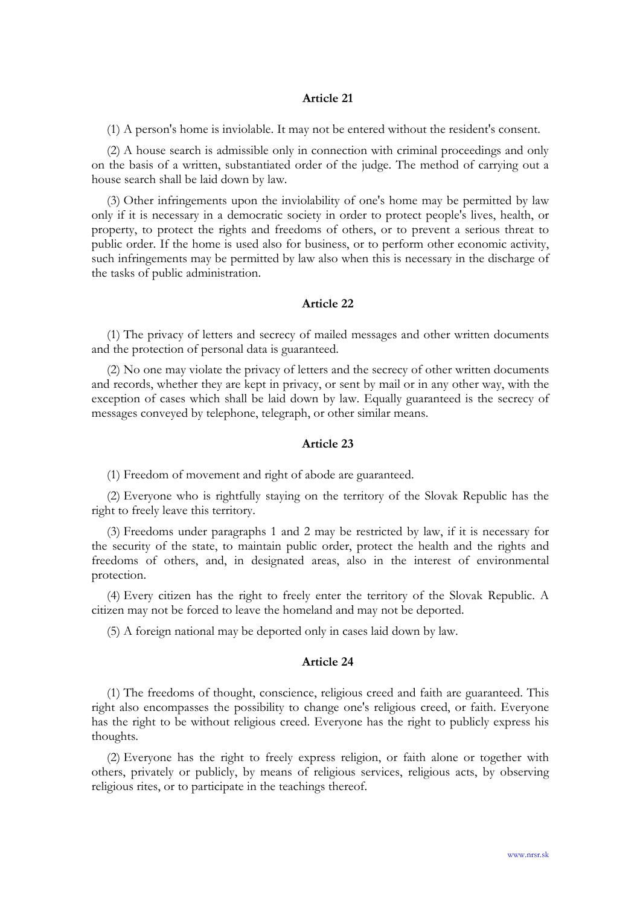(1) A person's home is inviolable. It may not be entered without the resident's consent.

(2) A house search is admissible only in connection with criminal proceedings and only on the basis of a written, substantiated order of the judge. The method of carrying out a house search shall be laid down by law.

(3) Other infringements upon the inviolability of one's home may be permitted by law only if it is necessary in a democratic society in order to protect people's lives, health, or property, to protect the rights and freedoms of others, or to prevent a serious threat to public order. If the home is used also for business, or to perform other economic activity, such infringements may be permitted by law also when this is necessary in the discharge of the tasks of public administration.

## Article 22

(1) The privacy of letters and secrecy of mailed messages and other written documents and the protection of personal data is guaranteed.

(2) No one may violate the privacy of letters and the secrecy of other written documents and records, whether they are kept in privacy, or sent by mail or in any other way, with the exception of cases which shall be laid down by law. Equally guaranteed is the secrecy of messages conveyed by telephone, telegraph, or other similar means.

#### Article 23

(1) Freedom of movement and right of abode are guaranteed.

(2) Everyone who is rightfully staying on the territory of the Slovak Republic has the right to freely leave this territory.

(3) Freedoms under paragraphs 1 and 2 may be restricted by law, if it is necessary for the security of the state, to maintain public order, protect the health and the rights and freedoms of others, and, in designated areas, also in the interest of environmental protection.

(4) Every citizen has the right to freely enter the territory of the Slovak Republic. A citizen may not be forced to leave the homeland and may not be deported.

(5) A foreign national may be deported only in cases laid down by law.

#### Article 24

(1) The freedoms of thought, conscience, religious creed and faith are guaranteed. This right also encompasses the possibility to change one's religious creed, or faith. Everyone has the right to be without religious creed. Everyone has the right to publicly express his thoughts.

(2) Everyone has the right to freely express religion, or faith alone or together with others, privately or publicly, by means of religious services, religious acts, by observing religious rites, or to participate in the teachings thereof.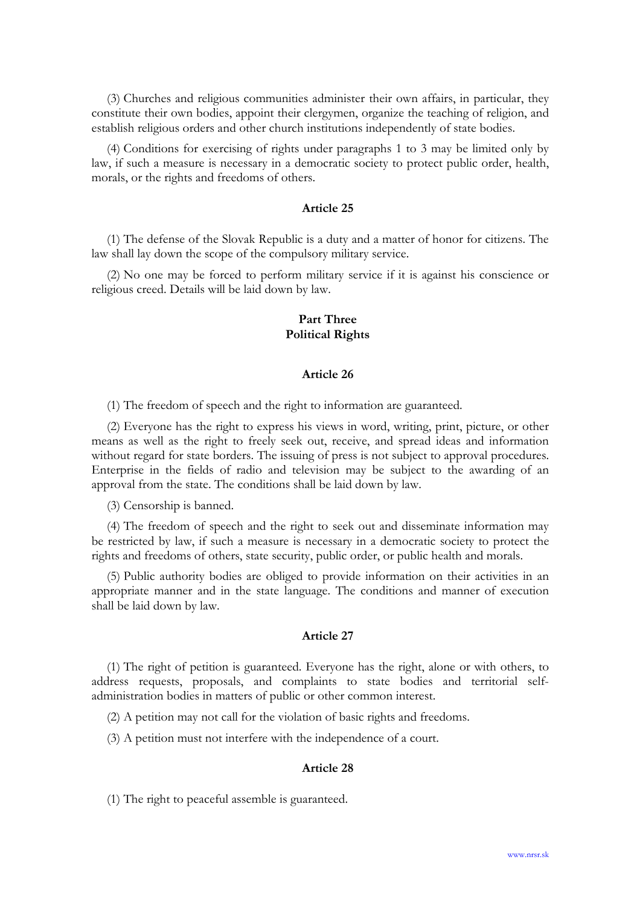(3) Churches and religious communities administer their own affairs, in particular, they constitute their own bodies, appoint their clergymen, organize the teaching of religion, and establish religious orders and other church institutions independently of state bodies.

(4) Conditions for exercising of rights under paragraphs 1 to 3 may be limited only by law, if such a measure is necessary in a democratic society to protect public order, health, morals, or the rights and freedoms of others.

### Article 25

(1) The defense of the Slovak Republic is a duty and a matter of honor for citizens. The law shall lay down the scope of the compulsory military service.

(2) No one may be forced to perform military service if it is against his conscience or religious creed. Details will be laid down by law.

## Part Three Political Rights

### Article 26

(1) The freedom of speech and the right to information are guaranteed.

(2) Everyone has the right to express his views in word, writing, print, picture, or other means as well as the right to freely seek out, receive, and spread ideas and information without regard for state borders. The issuing of press is not subject to approval procedures. Enterprise in the fields of radio and television may be subject to the awarding of an approval from the state. The conditions shall be laid down by law.

(3) Censorship is banned.

(4) The freedom of speech and the right to seek out and disseminate information may be restricted by law, if such a measure is necessary in a democratic society to protect the rights and freedoms of others, state security, public order, or public health and morals.

(5) Public authority bodies are obliged to provide information on their activities in an appropriate manner and in the state language. The conditions and manner of execution shall be laid down by law.

### Article 27

(1) The right of petition is guaranteed. Everyone has the right, alone or with others, to address requests, proposals, and complaints to state bodies and territorial selfadministration bodies in matters of public or other common interest.

(2) A petition may not call for the violation of basic rights and freedoms.

(3) A petition must not interfere with the independence of a court.

### Article 28

(1) The right to peaceful assemble is guaranteed.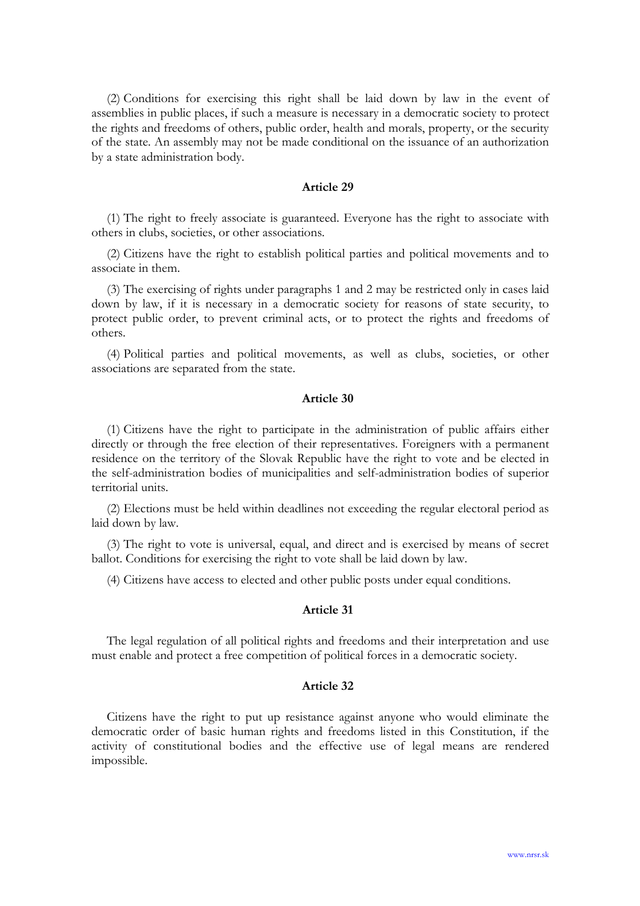(2) Conditions for exercising this right shall be laid down by law in the event of assemblies in public places, if such a measure is necessary in a democratic society to protect the rights and freedoms of others, public order, health and morals, property, or the security of the state. An assembly may not be made conditional on the issuance of an authorization by a state administration body.

### Article 29

(1) The right to freely associate is guaranteed. Everyone has the right to associate with others in clubs, societies, or other associations.

(2) Citizens have the right to establish political parties and political movements and to associate in them.

(3) The exercising of rights under paragraphs 1 and 2 may be restricted only in cases laid down by law, if it is necessary in a democratic society for reasons of state security, to protect public order, to prevent criminal acts, or to protect the rights and freedoms of others.

(4) Political parties and political movements, as well as clubs, societies, or other associations are separated from the state.

### Article 30

(1) Citizens have the right to participate in the administration of public affairs either directly or through the free election of their representatives. Foreigners with a permanent residence on the territory of the Slovak Republic have the right to vote and be elected in the self-administration bodies of municipalities and self-administration bodies of superior territorial units.

(2) Elections must be held within deadlines not exceeding the regular electoral period as laid down by law.

(3) The right to vote is universal, equal, and direct and is exercised by means of secret ballot. Conditions for exercising the right to vote shall be laid down by law.

(4) Citizens have access to elected and other public posts under equal conditions.

## Article 31

The legal regulation of all political rights and freedoms and their interpretation and use must enable and protect a free competition of political forces in a democratic society.

### Article 32

Citizens have the right to put up resistance against anyone who would eliminate the democratic order of basic human rights and freedoms listed in this Constitution, if the activity of constitutional bodies and the effective use of legal means are rendered impossible.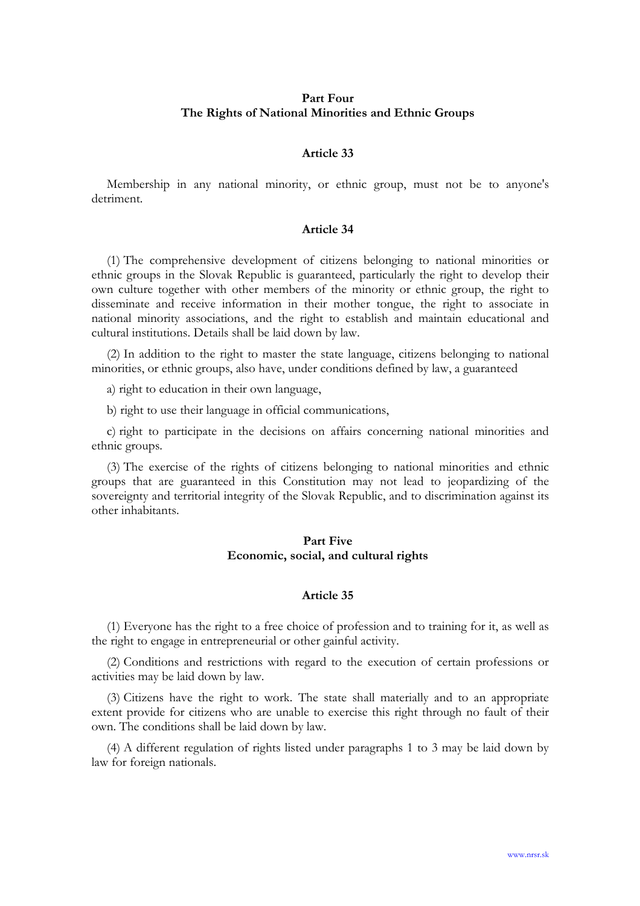## Part Four The Rights of National Minorities and Ethnic Groups

## Article 33

Membership in any national minority, or ethnic group, must not be to anyone's detriment.

## Article 34

(1) The comprehensive development of citizens belonging to national minorities or ethnic groups in the Slovak Republic is guaranteed, particularly the right to develop their own culture together with other members of the minority or ethnic group, the right to disseminate and receive information in their mother tongue, the right to associate in national minority associations, and the right to establish and maintain educational and cultural institutions. Details shall be laid down by law.

(2) In addition to the right to master the state language, citizens belonging to national minorities, or ethnic groups, also have, under conditions defined by law, a guaranteed

a) right to education in their own language,

b) right to use their language in official communications,

c) right to participate in the decisions on affairs concerning national minorities and ethnic groups.

(3) The exercise of the rights of citizens belonging to national minorities and ethnic groups that are guaranteed in this Constitution may not lead to jeopardizing of the sovereignty and territorial integrity of the Slovak Republic, and to discrimination against its other inhabitants.

# Part Five Economic, social, and cultural rights

#### Article 35

(1) Everyone has the right to a free choice of profession and to training for it, as well as the right to engage in entrepreneurial or other gainful activity.

(2) Conditions and restrictions with regard to the execution of certain professions or activities may be laid down by law.

(3) Citizens have the right to work. The state shall materially and to an appropriate extent provide for citizens who are unable to exercise this right through no fault of their own. The conditions shall be laid down by law.

(4) A different regulation of rights listed under paragraphs 1 to 3 may be laid down by law for foreign nationals.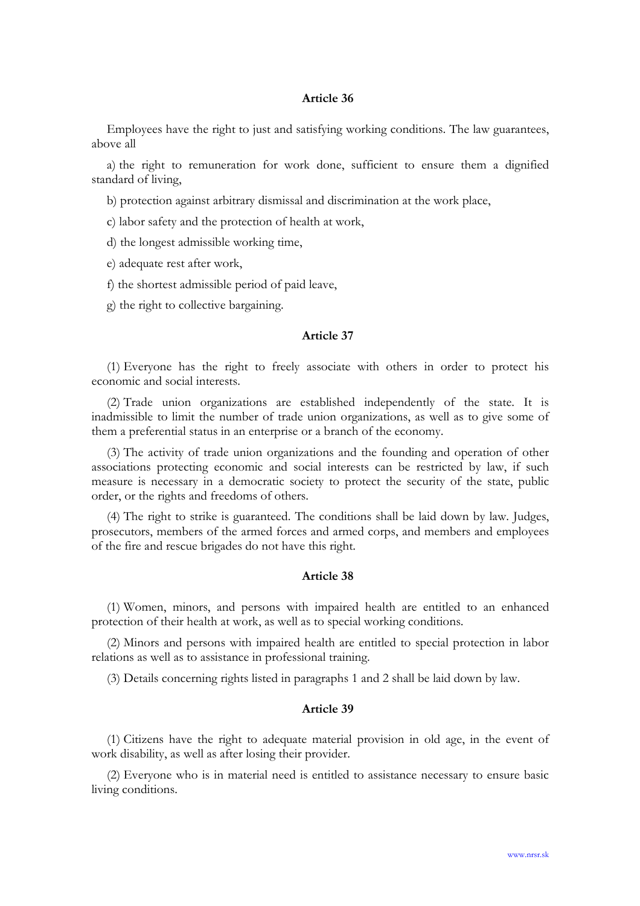Employees have the right to just and satisfying working conditions. The law guarantees, above all

a) the right to remuneration for work done, sufficient to ensure them a dignified standard of living,

b) protection against arbitrary dismissal and discrimination at the work place,

- c) labor safety and the protection of health at work,
- d) the longest admissible working time,
- e) adequate rest after work,
- f) the shortest admissible period of paid leave,
- g) the right to collective bargaining.

### Article 37

(1) Everyone has the right to freely associate with others in order to protect his economic and social interests.

(2) Trade union organizations are established independently of the state. It is inadmissible to limit the number of trade union organizations, as well as to give some of them a preferential status in an enterprise or a branch of the economy.

(3) The activity of trade union organizations and the founding and operation of other associations protecting economic and social interests can be restricted by law, if such measure is necessary in a democratic society to protect the security of the state, public order, or the rights and freedoms of others.

(4) The right to strike is guaranteed. The conditions shall be laid down by law. Judges, prosecutors, members of the armed forces and armed corps, and members and employees of the fire and rescue brigades do not have this right.

#### Article 38

(1) Women, minors, and persons with impaired health are entitled to an enhanced protection of their health at work, as well as to special working conditions.

(2) Minors and persons with impaired health are entitled to special protection in labor relations as well as to assistance in professional training.

(3) Details concerning rights listed in paragraphs 1 and 2 shall be laid down by law.

### Article 39

(1) Citizens have the right to adequate material provision in old age, in the event of work disability, as well as after losing their provider.

(2) Everyone who is in material need is entitled to assistance necessary to ensure basic living conditions.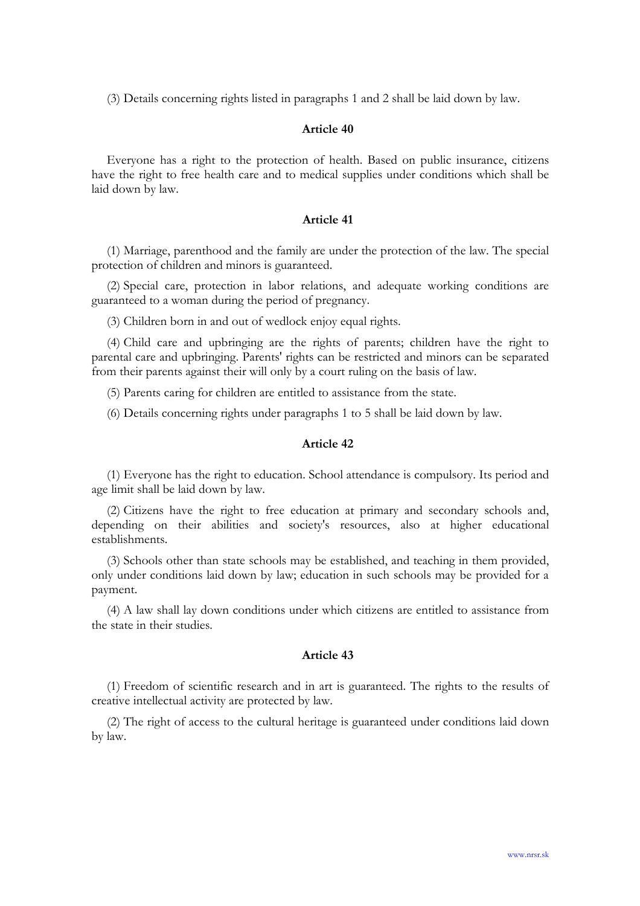(3) Details concerning rights listed in paragraphs 1 and 2 shall be laid down by law.

## Article 40

Everyone has a right to the protection of health. Based on public insurance, citizens have the right to free health care and to medical supplies under conditions which shall be laid down by law.

## Article 41

(1) Marriage, parenthood and the family are under the protection of the law. The special protection of children and minors is guaranteed.

(2) Special care, protection in labor relations, and adequate working conditions are guaranteed to a woman during the period of pregnancy.

(3) Children born in and out of wedlock enjoy equal rights.

(4) Child care and upbringing are the rights of parents; children have the right to parental care and upbringing. Parents' rights can be restricted and minors can be separated from their parents against their will only by a court ruling on the basis of law.

(5) Parents caring for children are entitled to assistance from the state.

(6) Details concerning rights under paragraphs 1 to 5 shall be laid down by law.

## Article 42

(1) Everyone has the right to education. School attendance is compulsory. Its period and age limit shall be laid down by law.

(2) Citizens have the right to free education at primary and secondary schools and, depending on their abilities and society's resources, also at higher educational establishments.

(3) Schools other than state schools may be established, and teaching in them provided, only under conditions laid down by law; education in such schools may be provided for a payment.

(4) A law shall lay down conditions under which citizens are entitled to assistance from the state in their studies.

## Article 43

(1) Freedom of scientific research and in art is guaranteed. The rights to the results of creative intellectual activity are protected by law.

(2) The right of access to the cultural heritage is guaranteed under conditions laid down by law.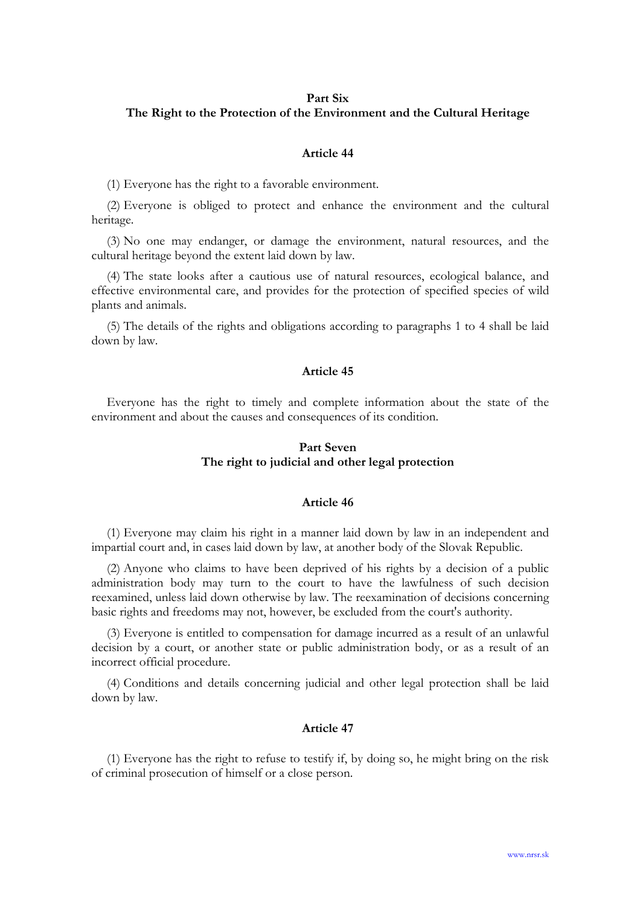#### Part Six

## The Right to the Protection of the Environment and the Cultural Heritage

### Article 44

(1) Everyone has the right to a favorable environment.

(2) Everyone is obliged to protect and enhance the environment and the cultural heritage.

(3) No one may endanger, or damage the environment, natural resources, and the cultural heritage beyond the extent laid down by law.

(4) The state looks after a cautious use of natural resources, ecological balance, and effective environmental care, and provides for the protection of specified species of wild plants and animals.

(5) The details of the rights and obligations according to paragraphs 1 to 4 shall be laid down by law.

## Article 45

Everyone has the right to timely and complete information about the state of the environment and about the causes and consequences of its condition.

# Part Seven The right to judicial and other legal protection

## Article 46

(1) Everyone may claim his right in a manner laid down by law in an independent and impartial court and, in cases laid down by law, at another body of the Slovak Republic.

(2) Anyone who claims to have been deprived of his rights by a decision of a public administration body may turn to the court to have the lawfulness of such decision reexamined, unless laid down otherwise by law. The reexamination of decisions concerning basic rights and freedoms may not, however, be excluded from the court's authority.

(3) Everyone is entitled to compensation for damage incurred as a result of an unlawful decision by a court, or another state or public administration body, or as a result of an incorrect official procedure.

(4) Conditions and details concerning judicial and other legal protection shall be laid down by law.

### Article 47

(1) Everyone has the right to refuse to testify if, by doing so, he might bring on the risk of criminal prosecution of himself or a close person.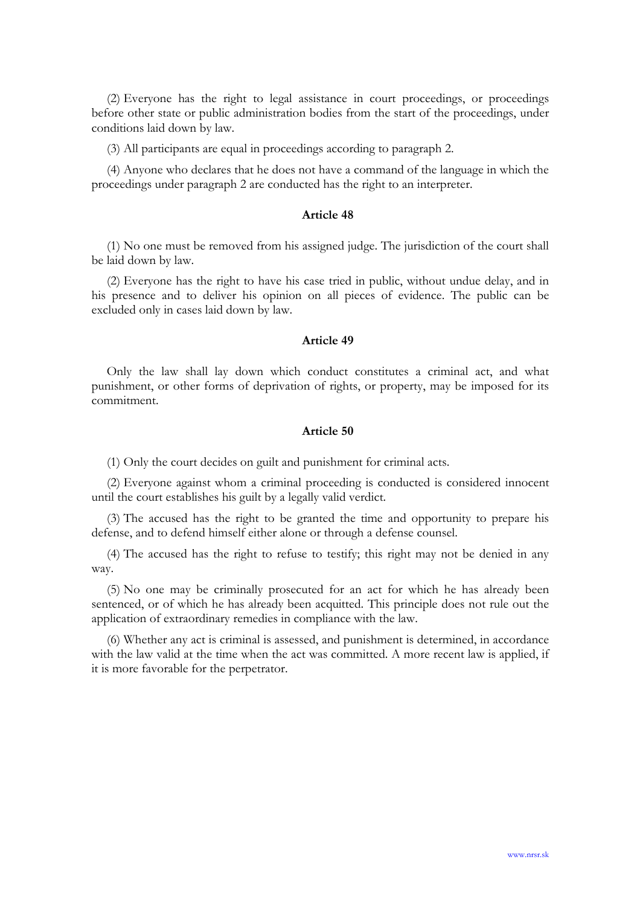(2) Everyone has the right to legal assistance in court proceedings, or proceedings before other state or public administration bodies from the start of the proceedings, under conditions laid down by law.

(3) All participants are equal in proceedings according to paragraph 2.

(4) Anyone who declares that he does not have a command of the language in which the proceedings under paragraph 2 are conducted has the right to an interpreter.

#### Article 48

(1) No one must be removed from his assigned judge. The jurisdiction of the court shall be laid down by law.

(2) Everyone has the right to have his case tried in public, without undue delay, and in his presence and to deliver his opinion on all pieces of evidence. The public can be excluded only in cases laid down by law.

### Article 49

Only the law shall lay down which conduct constitutes a criminal act, and what punishment, or other forms of deprivation of rights, or property, may be imposed for its commitment.

## Article 50

(1) Only the court decides on guilt and punishment for criminal acts.

(2) Everyone against whom a criminal proceeding is conducted is considered innocent until the court establishes his guilt by a legally valid verdict.

(3) The accused has the right to be granted the time and opportunity to prepare his defense, and to defend himself either alone or through a defense counsel.

(4) The accused has the right to refuse to testify; this right may not be denied in any way.

(5) No one may be criminally prosecuted for an act for which he has already been sentenced, or of which he has already been acquitted. This principle does not rule out the application of extraordinary remedies in compliance with the law.

(6) Whether any act is criminal is assessed, and punishment is determined, in accordance with the law valid at the time when the act was committed. A more recent law is applied, if it is more favorable for the perpetrator.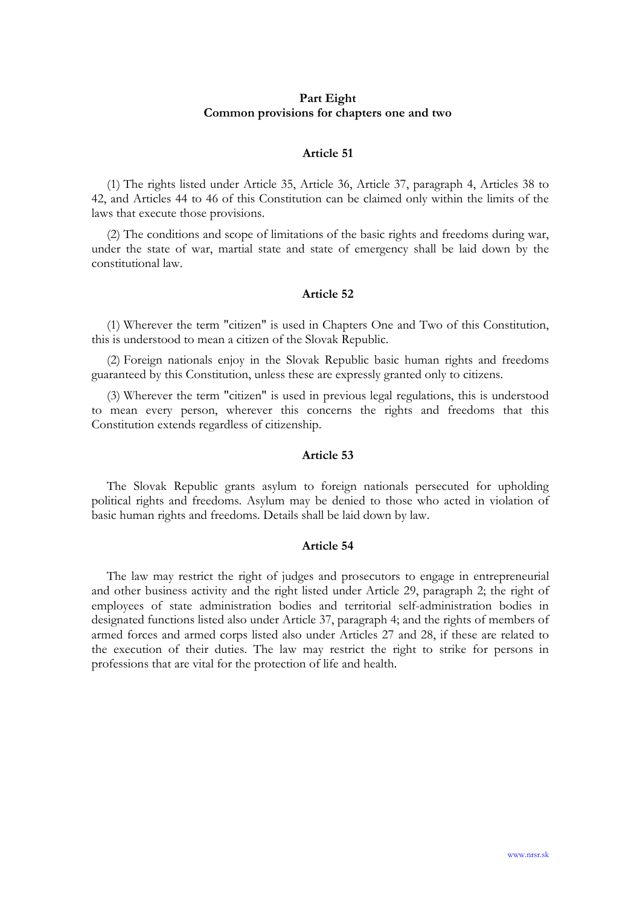## Part Eight Common provisions for chapters one and two

### Article 51

(1) The rights listed under Article 35, Article 36, Article 37, paragraph 4, Articles 38 to 42, and Articles 44 to 46 of this Constitution can be claimed only within the limits of the laws that execute those provisions.

(2) The conditions and scope of limitations of the basic rights and freedoms during war, under the state of war, martial state and state of emergency shall be laid down by the constitutional law.

## Article 52

(1) Wherever the term "citizen" is used in Chapters One and Two of this Constitution, this is understood to mean a citizen of the Slovak Republic.

(2) Foreign nationals enjoy in the Slovak Republic basic human rights and freedoms guaranteed by this Constitution, unless these are expressly granted only to citizens.

(3) Wherever the term "citizen" is used in previous legal regulations, this is understood to mean every person, wherever this concerns the rights and freedoms that this Constitution extends regardless of citizenship.

### Article 53

The Slovak Republic grants asylum to foreign nationals persecuted for upholding political rights and freedoms. Asylum may be denied to those who acted in violation of basic human rights and freedoms. Details shall be laid down by law.

### Article 54

The law may restrict the right of judges and prosecutors to engage in entrepreneurial and other business activity and the right listed under Article 29, paragraph 2; the right of employees of state administration bodies and territorial self-administration bodies in designated functions listed also under Article 37, paragraph 4; and the rights of members of armed forces and armed corps listed also under Articles 27 and 28, if these are related to the execution of their duties. The law may restrict the right to strike for persons in professions that are vital for the protection of life and health.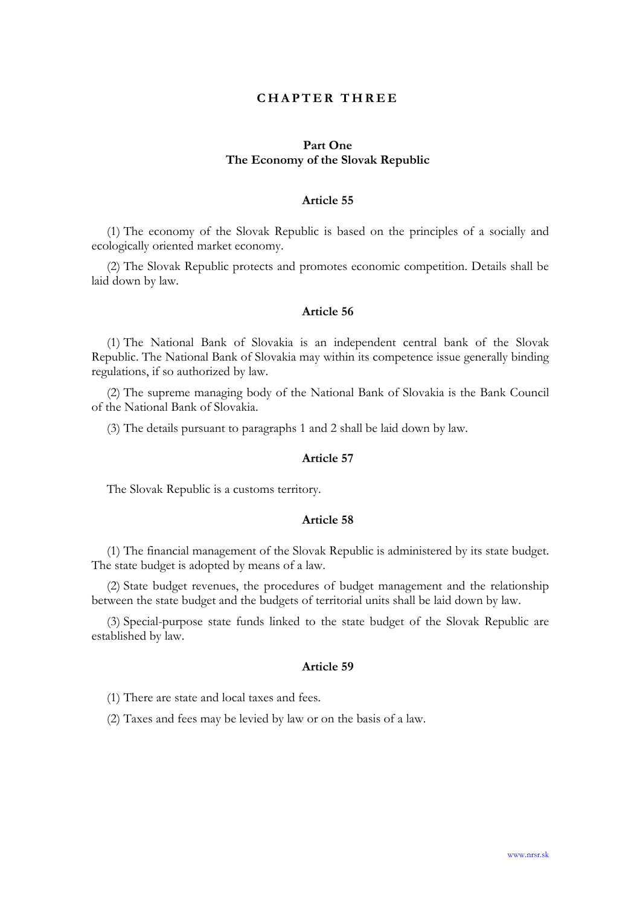## **CHAPTER THREE**

## Part One The Economy of the Slovak Republic

## Article 55

(1) The economy of the Slovak Republic is based on the principles of a socially and ecologically oriented market economy.

(2) The Slovak Republic protects and promotes economic competition. Details shall be laid down by law.

## Article 56

(1) The National Bank of Slovakia is an independent central bank of the Slovak Republic. The National Bank of Slovakia may within its competence issue generally binding regulations, if so authorized by law.

(2) The supreme managing body of the National Bank of Slovakia is the Bank Council of the National Bank of Slovakia.

(3) The details pursuant to paragraphs 1 and 2 shall be laid down by law.

### Article 57

The Slovak Republic is a customs territory.

### Article 58

(1) The financial management of the Slovak Republic is administered by its state budget. The state budget is adopted by means of a law.

(2) State budget revenues, the procedures of budget management and the relationship between the state budget and the budgets of territorial units shall be laid down by law.

(3) Special-purpose state funds linked to the state budget of the Slovak Republic are established by law.

## Article 59

(1) There are state and local taxes and fees.

(2) Taxes and fees may be levied by law or on the basis of a law.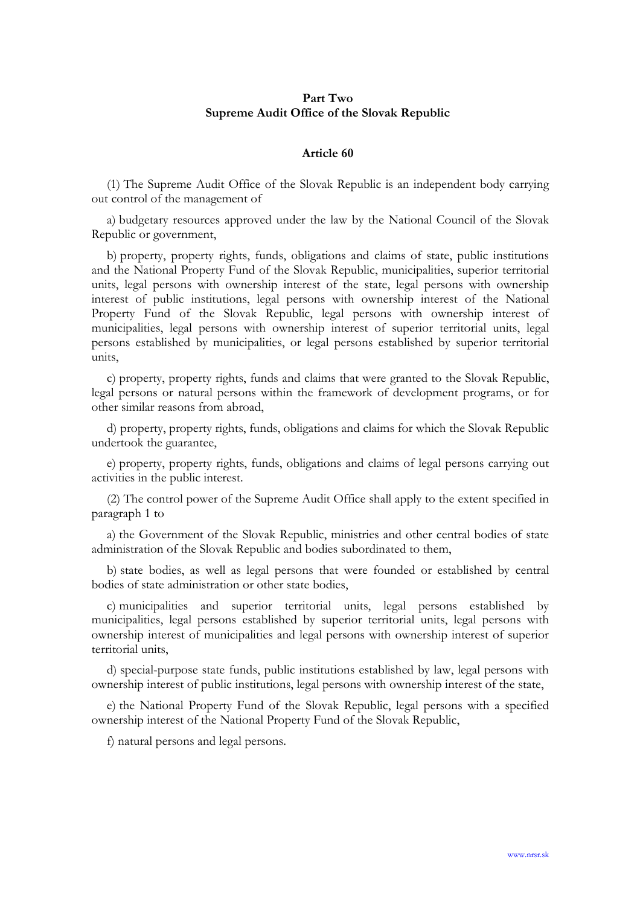## Part Two Supreme Audit Office of the Slovak Republic

### Article 60

(1) The Supreme Audit Office of the Slovak Republic is an independent body carrying out control of the management of

a) budgetary resources approved under the law by the National Council of the Slovak Republic or government,

b) property, property rights, funds, obligations and claims of state, public institutions and the National Property Fund of the Slovak Republic, municipalities, superior territorial units, legal persons with ownership interest of the state, legal persons with ownership interest of public institutions, legal persons with ownership interest of the National Property Fund of the Slovak Republic, legal persons with ownership interest of municipalities, legal persons with ownership interest of superior territorial units, legal persons established by municipalities, or legal persons established by superior territorial units,

c) property, property rights, funds and claims that were granted to the Slovak Republic, legal persons or natural persons within the framework of development programs, or for other similar reasons from abroad,

d) property, property rights, funds, obligations and claims for which the Slovak Republic undertook the guarantee,

e) property, property rights, funds, obligations and claims of legal persons carrying out activities in the public interest.

(2) The control power of the Supreme Audit Office shall apply to the extent specified in paragraph 1 to

a) the Government of the Slovak Republic, ministries and other central bodies of state administration of the Slovak Republic and bodies subordinated to them,

b) state bodies, as well as legal persons that were founded or established by central bodies of state administration or other state bodies,

c) municipalities and superior territorial units, legal persons established by municipalities, legal persons established by superior territorial units, legal persons with ownership interest of municipalities and legal persons with ownership interest of superior territorial units,

d) special-purpose state funds, public institutions established by law, legal persons with ownership interest of public institutions, legal persons with ownership interest of the state,

e) the National Property Fund of the Slovak Republic, legal persons with a specified ownership interest of the National Property Fund of the Slovak Republic,

f) natural persons and legal persons.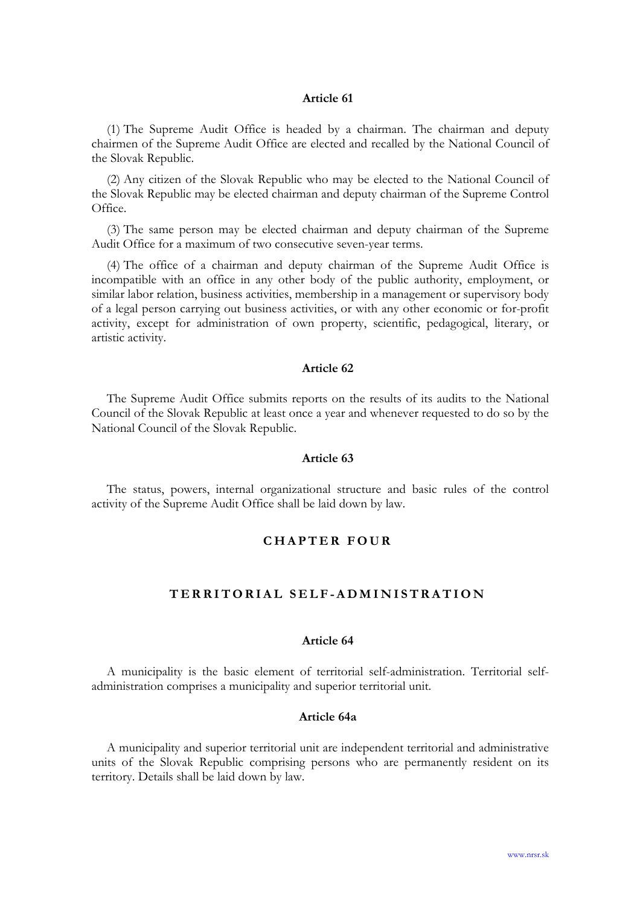(1) The Supreme Audit Office is headed by a chairman. The chairman and deputy chairmen of the Supreme Audit Office are elected and recalled by the National Council of the Slovak Republic.

(2) Any citizen of the Slovak Republic who may be elected to the National Council of the Slovak Republic may be elected chairman and deputy chairman of the Supreme Control Office.

(3) The same person may be elected chairman and deputy chairman of the Supreme Audit Office for a maximum of two consecutive seven-year terms.

(4) The office of a chairman and deputy chairman of the Supreme Audit Office is incompatible with an office in any other body of the public authority, employment, or similar labor relation, business activities, membership in a management or supervisory body of a legal person carrying out business activities, or with any other economic or for-profit activity, except for administration of own property, scientific, pedagogical, literary, or artistic activity.

#### Article 62

The Supreme Audit Office submits reports on the results of its audits to the National Council of the Slovak Republic at least once a year and whenever requested to do so by the National Council of the Slovak Republic.

### Article 63

The status, powers, internal organizational structure and basic rules of the control activity of the Supreme Audit Office shall be laid down by law.

# C H A P T E R F O U R

# TERRITORIAL SELF-ADMINISTRATION

### Article 64

A municipality is the basic element of territorial self-administration. Territorial selfadministration comprises a municipality and superior territorial unit.

### Article 64a

A municipality and superior territorial unit are independent territorial and administrative units of the Slovak Republic comprising persons who are permanently resident on its territory. Details shall be laid down by law.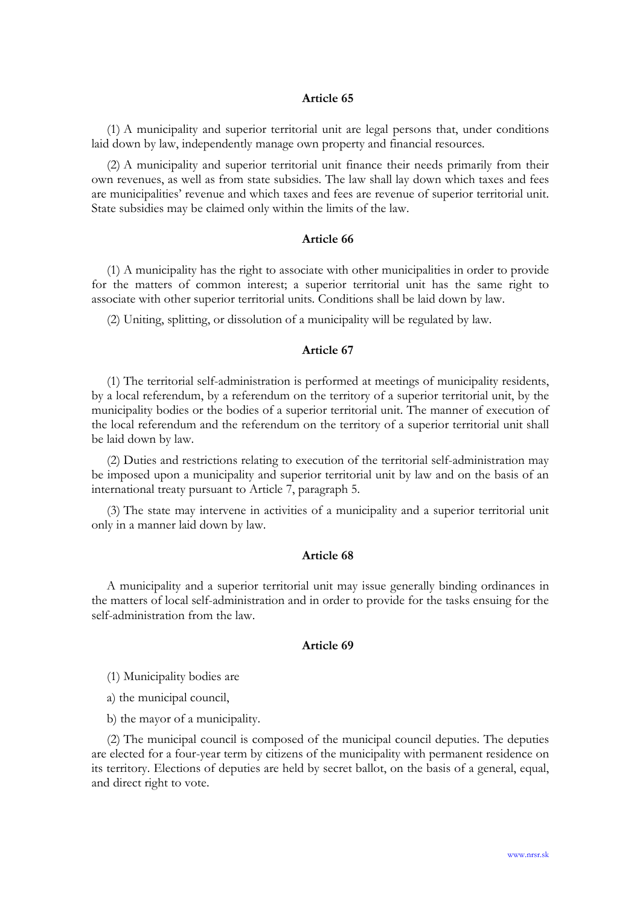(1) A municipality and superior territorial unit are legal persons that, under conditions laid down by law, independently manage own property and financial resources.

(2) A municipality and superior territorial unit finance their needs primarily from their own revenues, as well as from state subsidies. The law shall lay down which taxes and fees are municipalities' revenue and which taxes and fees are revenue of superior territorial unit. State subsidies may be claimed only within the limits of the law.

### Article 66

(1) A municipality has the right to associate with other municipalities in order to provide for the matters of common interest; a superior territorial unit has the same right to associate with other superior territorial units. Conditions shall be laid down by law.

(2) Uniting, splitting, or dissolution of a municipality will be regulated by law.

## Article 67

(1) The territorial self-administration is performed at meetings of municipality residents, by a local referendum, by a referendum on the territory of a superior territorial unit, by the municipality bodies or the bodies of a superior territorial unit. The manner of execution of the local referendum and the referendum on the territory of a superior territorial unit shall be laid down by law.

(2) Duties and restrictions relating to execution of the territorial self-administration may be imposed upon a municipality and superior territorial unit by law and on the basis of an international treaty pursuant to Article 7, paragraph 5.

(3) The state may intervene in activities of a municipality and a superior territorial unit only in a manner laid down by law.

### Article 68

A municipality and a superior territorial unit may issue generally binding ordinances in the matters of local self-administration and in order to provide for the tasks ensuing for the self-administration from the law.

## Article 69

(1) Municipality bodies are

a) the municipal council,

b) the mayor of a municipality.

(2) The municipal council is composed of the municipal council deputies. The deputies are elected for a four-year term by citizens of the municipality with permanent residence on its territory. Elections of deputies are held by secret ballot, on the basis of a general, equal, and direct right to vote.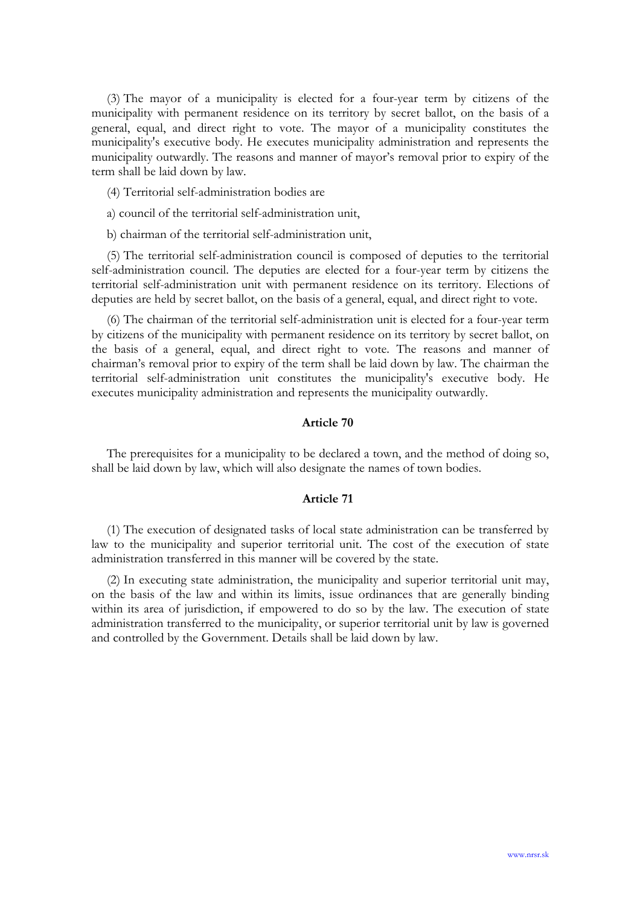(3) The mayor of a municipality is elected for a four-year term by citizens of the municipality with permanent residence on its territory by secret ballot, on the basis of a general, equal, and direct right to vote. The mayor of a municipality constitutes the municipality's executive body. He executes municipality administration and represents the municipality outwardly. The reasons and manner of mayor's removal prior to expiry of the term shall be laid down by law.

- (4) Territorial self-administration bodies are
- a) council of the territorial self-administration unit,
- b) chairman of the territorial self-administration unit,

(5) The territorial self-administration council is composed of deputies to the territorial self-administration council. The deputies are elected for a four-year term by citizens the territorial self-administration unit with permanent residence on its territory. Elections of deputies are held by secret ballot, on the basis of a general, equal, and direct right to vote.

(6) The chairman of the territorial self-administration unit is elected for a four-year term by citizens of the municipality with permanent residence on its territory by secret ballot, on the basis of a general, equal, and direct right to vote. The reasons and manner of chairman's removal prior to expiry of the term shall be laid down by law. The chairman the territorial self-administration unit constitutes the municipality's executive body. He executes municipality administration and represents the municipality outwardly.

### Article 70

The prerequisites for a municipality to be declared a town, and the method of doing so, shall be laid down by law, which will also designate the names of town bodies.

#### Article 71

(1) The execution of designated tasks of local state administration can be transferred by law to the municipality and superior territorial unit. The cost of the execution of state administration transferred in this manner will be covered by the state.

(2) In executing state administration, the municipality and superior territorial unit may, on the basis of the law and within its limits, issue ordinances that are generally binding within its area of jurisdiction, if empowered to do so by the law. The execution of state administration transferred to the municipality, or superior territorial unit by law is governed and controlled by the Government. Details shall be laid down by law.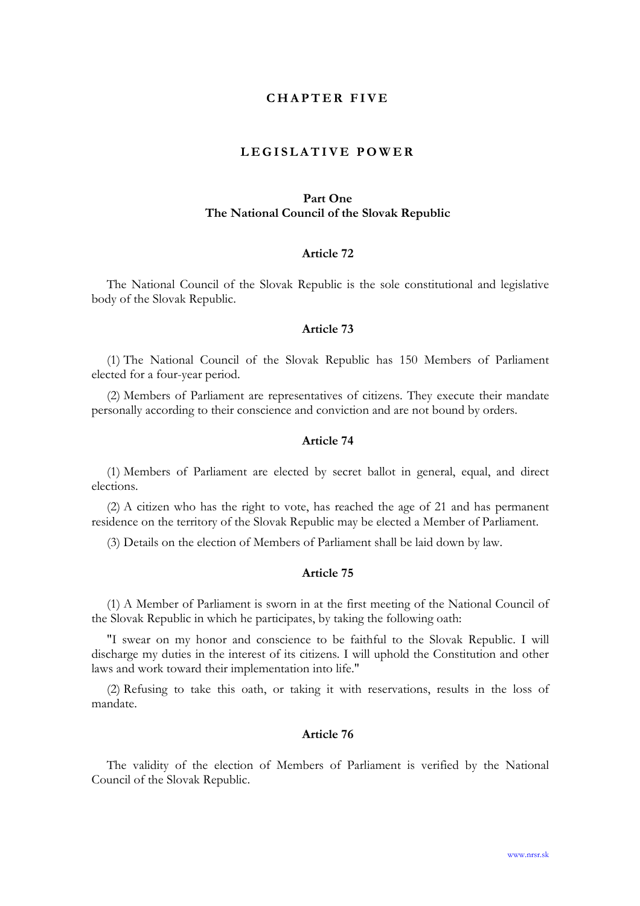## CHAPTER FIVE

## LEGISLATIVE POWER

# Part One The National Council of the Slovak Republic

#### Article 72

The National Council of the Slovak Republic is the sole constitutional and legislative body of the Slovak Republic.

### Article 73

(1) The National Council of the Slovak Republic has 150 Members of Parliament elected for a four-year period.

(2) Members of Parliament are representatives of citizens. They execute their mandate personally according to their conscience and conviction and are not bound by orders.

## Article 74

(1) Members of Parliament are elected by secret ballot in general, equal, and direct elections.

(2) A citizen who has the right to vote, has reached the age of 21 and has permanent residence on the territory of the Slovak Republic may be elected a Member of Parliament.

(3) Details on the election of Members of Parliament shall be laid down by law.

### Article 75

(1) A Member of Parliament is sworn in at the first meeting of the National Council of the Slovak Republic in which he participates, by taking the following oath:

"I swear on my honor and conscience to be faithful to the Slovak Republic. I will discharge my duties in the interest of its citizens. I will uphold the Constitution and other laws and work toward their implementation into life."

(2) Refusing to take this oath, or taking it with reservations, results in the loss of mandate.

### Article 76

The validity of the election of Members of Parliament is verified by the National Council of the Slovak Republic.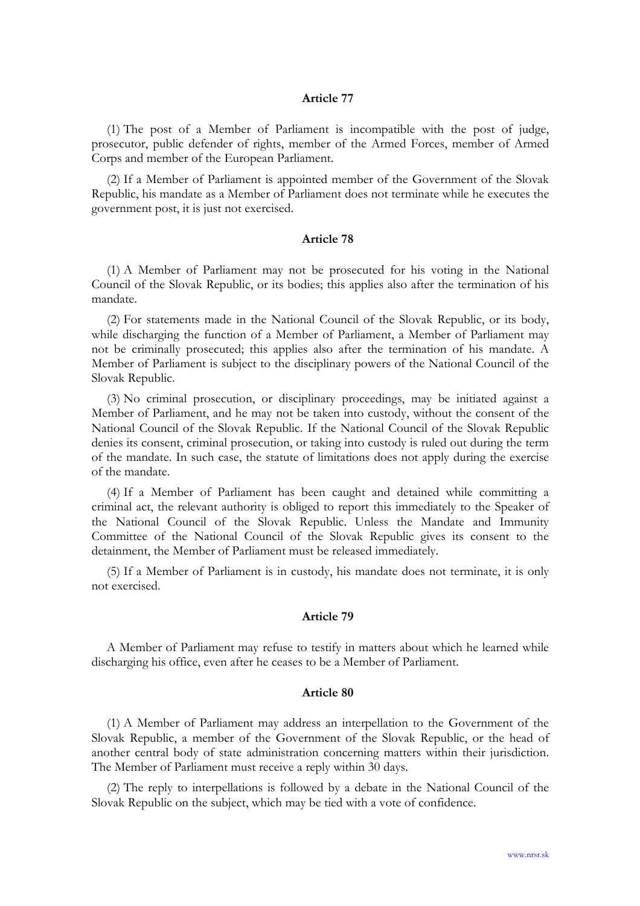(1) The post of a Member of Parliament is incompatible with the post of judge, prosecutor, public defender of rights, member of the Armed Forces, member of Armed Corps and member of the European Parliament.

(2) If a Member of Parliament is appointed member of the Government of the Slovak Republic, his mandate as a Member of Parliament does not terminate while he executes the government post, it is just not exercised.

#### Article 78

(1) A Member of Parliament may not be prosecuted for his voting in the National Council of the Slovak Republic, or its bodies; this applies also after the termination of his mandate.

(2) For statements made in the National Council of the Slovak Republic, or its body, while discharging the function of a Member of Parliament, a Member of Parliament may not be criminally prosecuted; this applies also after the termination of his mandate. A Member of Parliament is subject to the disciplinary powers of the National Council of the Slovak Republic.

(3) No criminal prosecution, or disciplinary proceedings, may be initiated against a Member of Parliament, and he may not be taken into custody, without the consent of the National Council of the Slovak Republic. If the National Council of the Slovak Republic denies its consent, criminal prosecution, or taking into custody is ruled out during the term of the mandate. In such case, the statute of limitations does not apply during the exercise of the mandate.

(4) If a Member of Parliament has been caught and detained while committing a criminal act, the relevant authority is obliged to report this immediately to the Speaker of the National Council of the Slovak Republic. Unless the Mandate and Immunity Committee of the National Council of the Slovak Republic gives its consent to the detainment, the Member of Parliament must be released immediately.

(5) If a Member of Parliament is in custody, his mandate does not terminate, it is only not exercised.

#### Article 79

A Member of Parliament may refuse to testify in matters about which he learned while discharging his office, even after he ceases to be a Member of Parliament.

### Article 80

(1) A Member of Parliament may address an interpellation to the Government of the Slovak Republic, a member of the Government of the Slovak Republic, or the head of another central body of state administration concerning matters within their jurisdiction. The Member of Parliament must receive a reply within 30 days.

(2) The reply to interpellations is followed by a debate in the National Council of the Slovak Republic on the subject, which may be tied with a vote of confidence.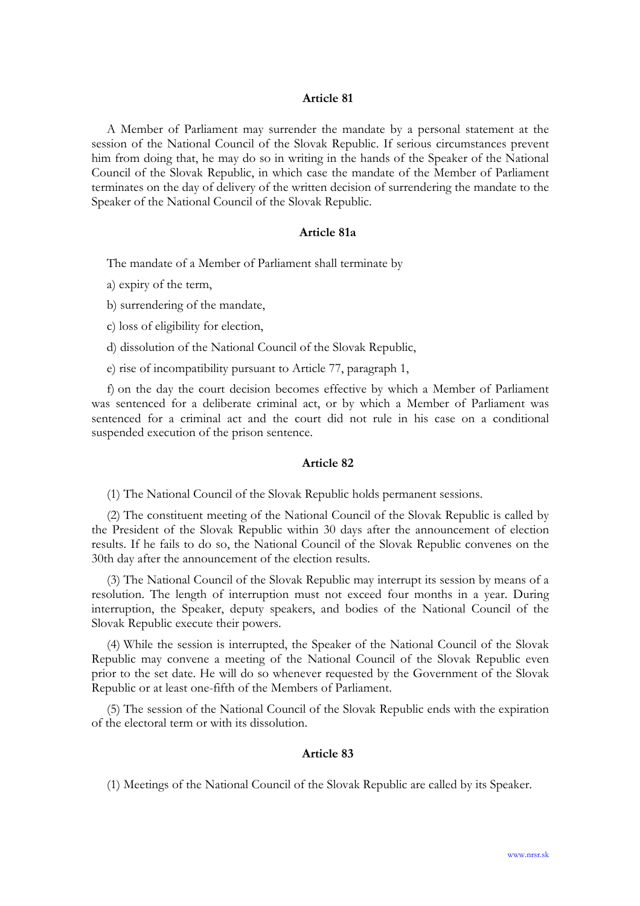A Member of Parliament may surrender the mandate by a personal statement at the session of the National Council of the Slovak Republic. If serious circumstances prevent him from doing that, he may do so in writing in the hands of the Speaker of the National Council of the Slovak Republic, in which case the mandate of the Member of Parliament terminates on the day of delivery of the written decision of surrendering the mandate to the Speaker of the National Council of the Slovak Republic.

## Article 81a

The mandate of a Member of Parliament shall terminate by

a) expiry of the term,

b) surrendering of the mandate,

c) loss of eligibility for election,

d) dissolution of the National Council of the Slovak Republic,

e) rise of incompatibility pursuant to Article 77, paragraph 1,

f) on the day the court decision becomes effective by which a Member of Parliament was sentenced for a deliberate criminal act, or by which a Member of Parliament was sentenced for a criminal act and the court did not rule in his case on a conditional suspended execution of the prison sentence.

#### Article 82

(1) The National Council of the Slovak Republic holds permanent sessions.

(2) The constituent meeting of the National Council of the Slovak Republic is called by the President of the Slovak Republic within 30 days after the announcement of election results. If he fails to do so, the National Council of the Slovak Republic convenes on the 30th day after the announcement of the election results.

(3) The National Council of the Slovak Republic may interrupt its session by means of a resolution. The length of interruption must not exceed four months in a year. During interruption, the Speaker, deputy speakers, and bodies of the National Council of the Slovak Republic execute their powers.

(4) While the session is interrupted, the Speaker of the National Council of the Slovak Republic may convene a meeting of the National Council of the Slovak Republic even prior to the set date. He will do so whenever requested by the Government of the Slovak Republic or at least one-fifth of the Members of Parliament.

(5) The session of the National Council of the Slovak Republic ends with the expiration of the electoral term or with its dissolution.

## Article 83

(1) Meetings of the National Council of the Slovak Republic are called by its Speaker.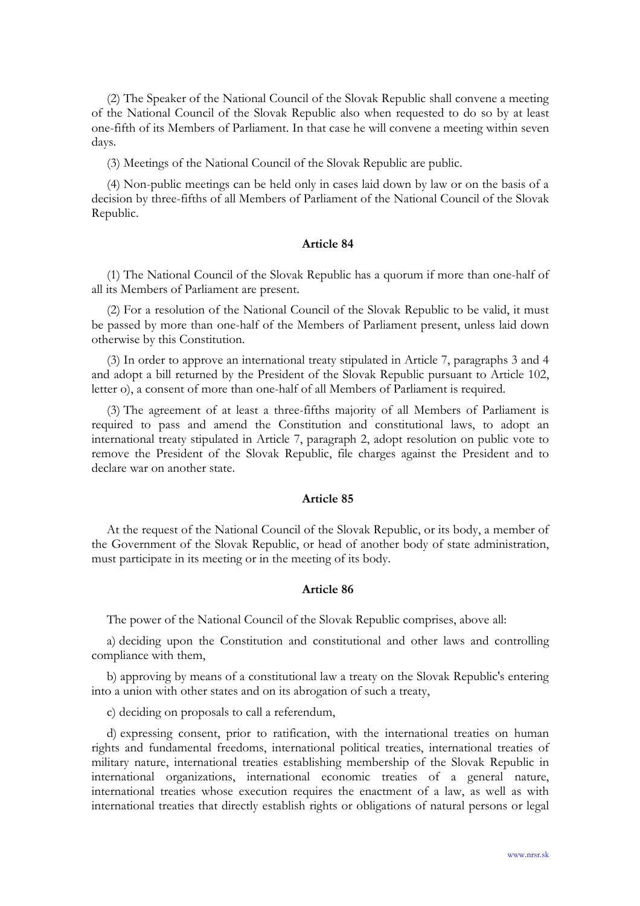(2) The Speaker of the National Council of the Slovak Republic shall convene a meeting of the National Council of the Slovak Republic also when requested to do so by at least one-fifth of its Members of Parliament. In that case he will convene a meeting within seven days.

(3) Meetings of the National Council of the Slovak Republic are public.

(4) Non-public meetings can be held only in cases laid down by law or on the basis of a decision by three-fifths of all Members of Parliament of the National Council of the Slovak Republic.

## Article 84

(1) The National Council of the Slovak Republic has a quorum if more than one-half of all its Members of Parliament are present.

(2) For a resolution of the National Council of the Slovak Republic to be valid, it must be passed by more than one-half of the Members of Parliament present, unless laid down otherwise by this Constitution.

(3) In order to approve an international treaty stipulated in Article 7, paragraphs 3 and 4 and adopt a bill returned by the President of the Slovak Republic pursuant to Article 102, letter o), a consent of more than one-half of all Members of Parliament is required.

(3) The agreement of at least a three-fifths majority of all Members of Parliament is required to pass and amend the Constitution and constitutional laws, to adopt an international treaty stipulated in Article 7, paragraph 2, adopt resolution on public vote to remove the President of the Slovak Republic, file charges against the President and to declare war on another state.

#### Article 85

At the request of the National Council of the Slovak Republic, or its body, a member of the Government of the Slovak Republic, or head of another body of state administration, must participate in its meeting or in the meeting of its body.

## Article 86

The power of the National Council of the Slovak Republic comprises, above all:

a) deciding upon the Constitution and constitutional and other laws and controlling compliance with them,

b) approving by means of a constitutional law a treaty on the Slovak Republic's entering into a union with other states and on its abrogation of such a treaty,

c) deciding on proposals to call a referendum,

d) expressing consent, prior to ratification, with the international treaties on human rights and fundamental freedoms, international political treaties, international treaties of military nature, international treaties establishing membership of the Slovak Republic in international organizations, international economic treaties of a general nature, international treaties whose execution requires the enactment of a law, as well as with international treaties that directly establish rights or obligations of natural persons or legal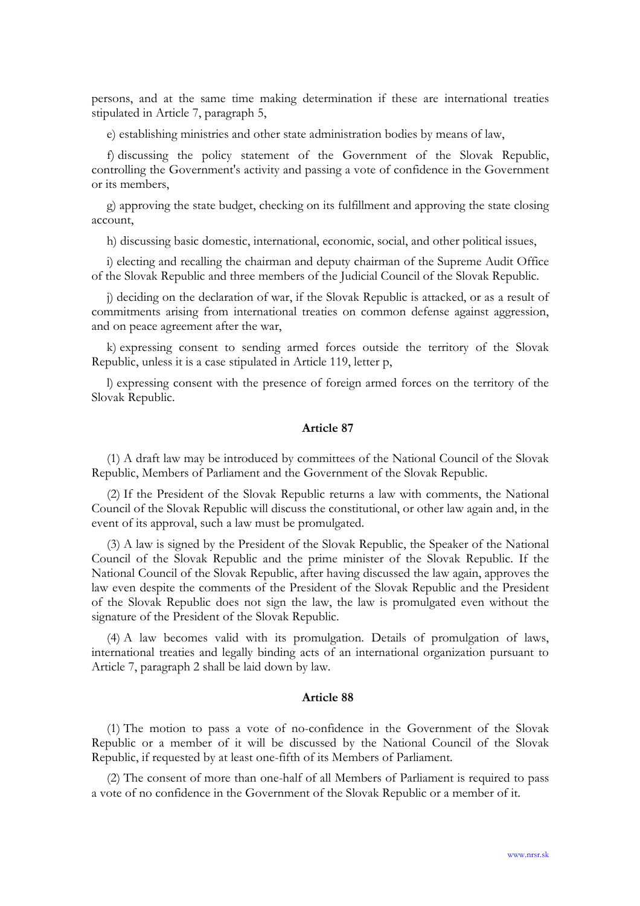persons, and at the same time making determination if these are international treaties stipulated in Article 7, paragraph 5,

e) establishing ministries and other state administration bodies by means of law,

f) discussing the policy statement of the Government of the Slovak Republic, controlling the Government's activity and passing a vote of confidence in the Government or its members,

g) approving the state budget, checking on its fulfillment and approving the state closing account,

h) discussing basic domestic, international, economic, social, and other political issues,

i) electing and recalling the chairman and deputy chairman of the Supreme Audit Office of the Slovak Republic and three members of the Judicial Council of the Slovak Republic.

j) deciding on the declaration of war, if the Slovak Republic is attacked, or as a result of commitments arising from international treaties on common defense against aggression, and on peace agreement after the war,

k) expressing consent to sending armed forces outside the territory of the Slovak Republic, unless it is a case stipulated in Article 119, letter p,

l) expressing consent with the presence of foreign armed forces on the territory of the Slovak Republic.

### Article 87

(1) A draft law may be introduced by committees of the National Council of the Slovak Republic, Members of Parliament and the Government of the Slovak Republic.

(2) If the President of the Slovak Republic returns a law with comments, the National Council of the Slovak Republic will discuss the constitutional, or other law again and, in the event of its approval, such a law must be promulgated.

(3) A law is signed by the President of the Slovak Republic, the Speaker of the National Council of the Slovak Republic and the prime minister of the Slovak Republic. If the National Council of the Slovak Republic, after having discussed the law again, approves the law even despite the comments of the President of the Slovak Republic and the President of the Slovak Republic does not sign the law, the law is promulgated even without the signature of the President of the Slovak Republic.

(4) A law becomes valid with its promulgation. Details of promulgation of laws, international treaties and legally binding acts of an international organization pursuant to Article 7, paragraph 2 shall be laid down by law.

#### Article 88

(1) The motion to pass a vote of no-confidence in the Government of the Slovak Republic or a member of it will be discussed by the National Council of the Slovak Republic, if requested by at least one-fifth of its Members of Parliament.

(2) The consent of more than one-half of all Members of Parliament is required to pass a vote of no confidence in the Government of the Slovak Republic or a member of it.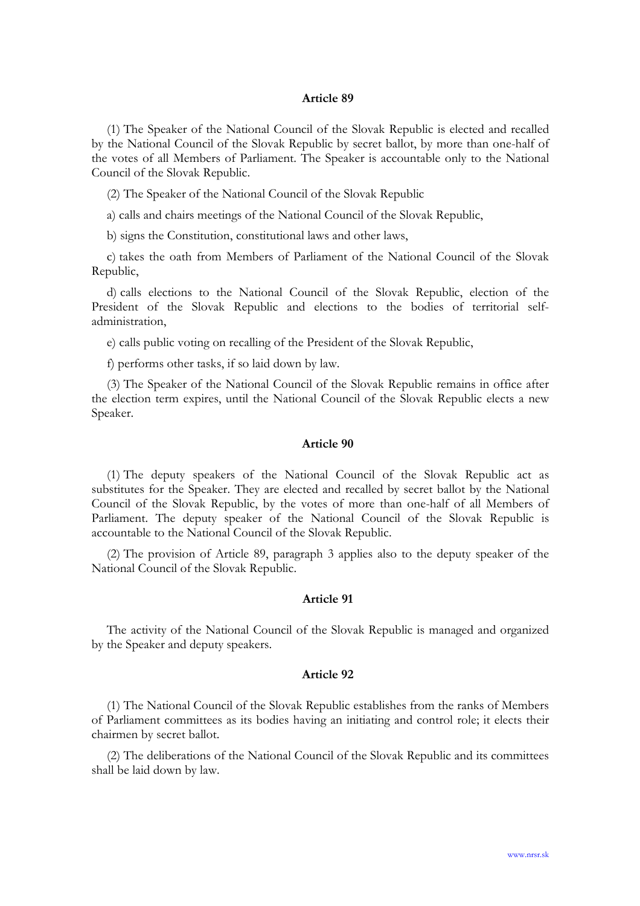(1) The Speaker of the National Council of the Slovak Republic is elected and recalled by the National Council of the Slovak Republic by secret ballot, by more than one-half of the votes of all Members of Parliament. The Speaker is accountable only to the National Council of the Slovak Republic.

(2) The Speaker of the National Council of the Slovak Republic

a) calls and chairs meetings of the National Council of the Slovak Republic,

b) signs the Constitution, constitutional laws and other laws,

c) takes the oath from Members of Parliament of the National Council of the Slovak Republic,

d) calls elections to the National Council of the Slovak Republic, election of the President of the Slovak Republic and elections to the bodies of territorial selfadministration,

e) calls public voting on recalling of the President of the Slovak Republic,

f) performs other tasks, if so laid down by law.

(3) The Speaker of the National Council of the Slovak Republic remains in office after the election term expires, until the National Council of the Slovak Republic elects a new Speaker.

## Article 90

(1) The deputy speakers of the National Council of the Slovak Republic act as substitutes for the Speaker. They are elected and recalled by secret ballot by the National Council of the Slovak Republic, by the votes of more than one-half of all Members of Parliament. The deputy speaker of the National Council of the Slovak Republic is accountable to the National Council of the Slovak Republic.

(2) The provision of Article 89, paragraph 3 applies also to the deputy speaker of the National Council of the Slovak Republic.

## Article 91

The activity of the National Council of the Slovak Republic is managed and organized by the Speaker and deputy speakers.

#### Article 92

(1) The National Council of the Slovak Republic establishes from the ranks of Members of Parliament committees as its bodies having an initiating and control role; it elects their chairmen by secret ballot.

(2) The deliberations of the National Council of the Slovak Republic and its committees shall be laid down by law.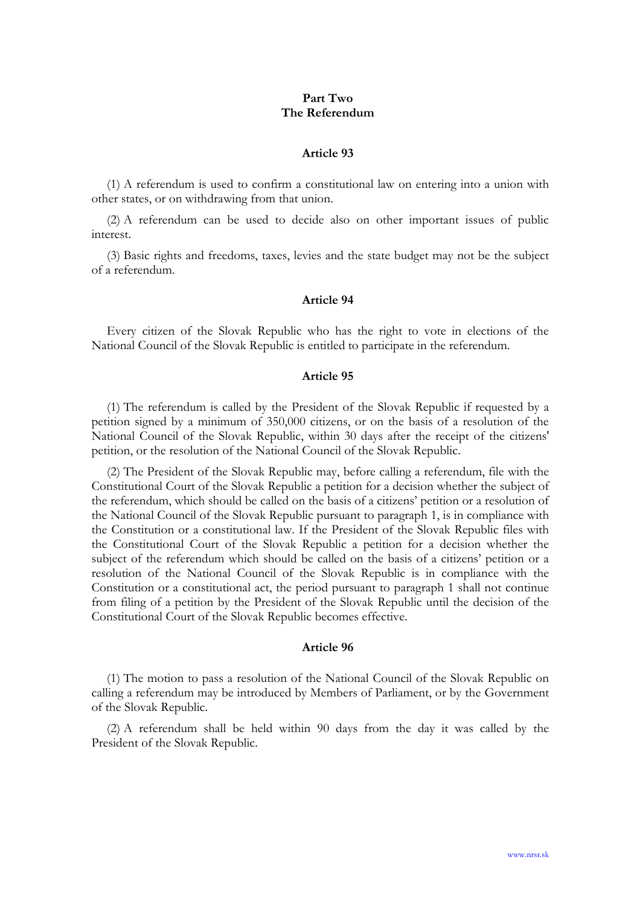## Part Two The Referendum

#### Article 93

(1) A referendum is used to confirm a constitutional law on entering into a union with other states, or on withdrawing from that union.

(2) A referendum can be used to decide also on other important issues of public interest.

(3) Basic rights and freedoms, taxes, levies and the state budget may not be the subject of a referendum.

### Article 94

Every citizen of the Slovak Republic who has the right to vote in elections of the National Council of the Slovak Republic is entitled to participate in the referendum.

## Article 95

(1) The referendum is called by the President of the Slovak Republic if requested by a petition signed by a minimum of 350,000 citizens, or on the basis of a resolution of the National Council of the Slovak Republic, within 30 days after the receipt of the citizens' petition, or the resolution of the National Council of the Slovak Republic.

(2) The President of the Slovak Republic may, before calling a referendum, file with the Constitutional Court of the Slovak Republic a petition for a decision whether the subject of the referendum, which should be called on the basis of a citizens' petition or a resolution of the National Council of the Slovak Republic pursuant to paragraph 1, is in compliance with the Constitution or a constitutional law. If the President of the Slovak Republic files with the Constitutional Court of the Slovak Republic a petition for a decision whether the subject of the referendum which should be called on the basis of a citizens' petition or a resolution of the National Council of the Slovak Republic is in compliance with the Constitution or a constitutional act, the period pursuant to paragraph 1 shall not continue from filing of a petition by the President of the Slovak Republic until the decision of the Constitutional Court of the Slovak Republic becomes effective.

### Article 96

(1) The motion to pass a resolution of the National Council of the Slovak Republic on calling a referendum may be introduced by Members of Parliament, or by the Government of the Slovak Republic.

(2) A referendum shall be held within 90 days from the day it was called by the President of the Slovak Republic.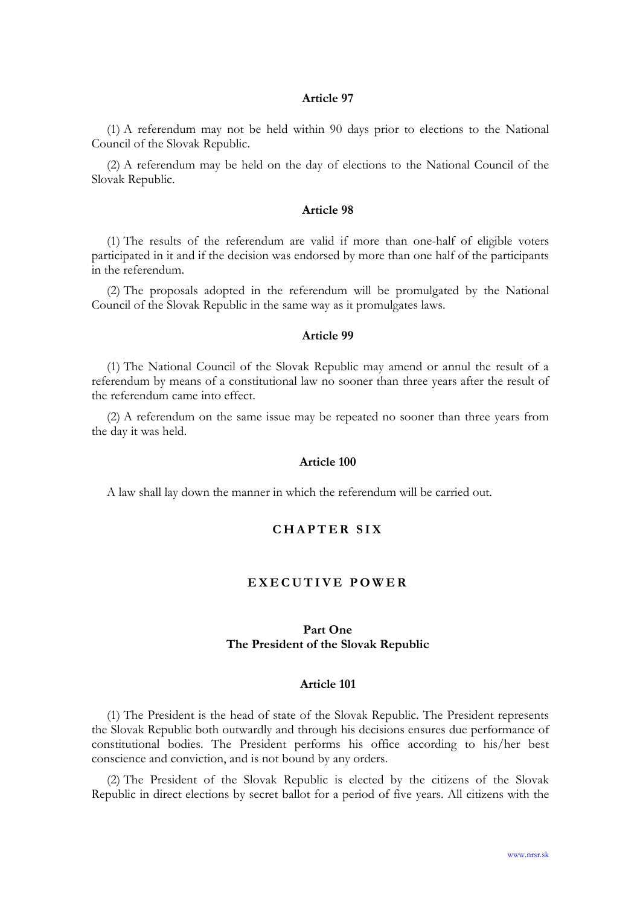(1) A referendum may not be held within 90 days prior to elections to the National Council of the Slovak Republic.

(2) A referendum may be held on the day of elections to the National Council of the Slovak Republic.

#### Article 98

(1) The results of the referendum are valid if more than one-half of eligible voters participated in it and if the decision was endorsed by more than one half of the participants in the referendum.

(2) The proposals adopted in the referendum will be promulgated by the National Council of the Slovak Republic in the same way as it promulgates laws.

### Article 99

(1) The National Council of the Slovak Republic may amend or annul the result of a referendum by means of a constitutional law no sooner than three years after the result of the referendum came into effect.

(2) A referendum on the same issue may be repeated no sooner than three years from the day it was held.

#### Article 100

A law shall lay down the manner in which the referendum will be carried out.

# CHAPTER SIX

## EXECUTIVE POWER

# Part One The President of the Slovak Republic

### Article 101

(1) The President is the head of state of the Slovak Republic. The President represents the Slovak Republic both outwardly and through his decisions ensures due performance of constitutional bodies. The President performs his office according to his/her best conscience and conviction, and is not bound by any orders.

(2) The President of the Slovak Republic is elected by the citizens of the Slovak Republic in direct elections by secret ballot for a period of five years. All citizens with the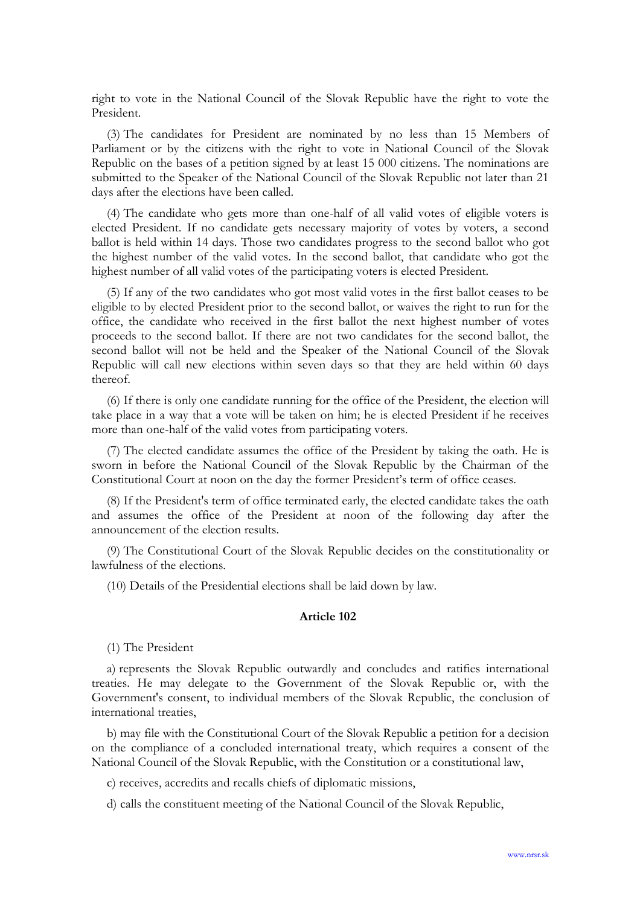right to vote in the National Council of the Slovak Republic have the right to vote the President.

(3) The candidates for President are nominated by no less than 15 Members of Parliament or by the citizens with the right to vote in National Council of the Slovak Republic on the bases of a petition signed by at least 15 000 citizens. The nominations are submitted to the Speaker of the National Council of the Slovak Republic not later than 21 days after the elections have been called.

(4) The candidate who gets more than one-half of all valid votes of eligible voters is elected President. If no candidate gets necessary majority of votes by voters, a second ballot is held within 14 days. Those two candidates progress to the second ballot who got the highest number of the valid votes. In the second ballot, that candidate who got the highest number of all valid votes of the participating voters is elected President.

(5) If any of the two candidates who got most valid votes in the first ballot ceases to be eligible to by elected President prior to the second ballot, or waives the right to run for the office, the candidate who received in the first ballot the next highest number of votes proceeds to the second ballot. If there are not two candidates for the second ballot, the second ballot will not be held and the Speaker of the National Council of the Slovak Republic will call new elections within seven days so that they are held within 60 days thereof.

(6) If there is only one candidate running for the office of the President, the election will take place in a way that a vote will be taken on him; he is elected President if he receives more than one-half of the valid votes from participating voters.

(7) The elected candidate assumes the office of the President by taking the oath. He is sworn in before the National Council of the Slovak Republic by the Chairman of the Constitutional Court at noon on the day the former President's term of office ceases.

(8) If the President's term of office terminated early, the elected candidate takes the oath and assumes the office of the President at noon of the following day after the announcement of the election results.

(9) The Constitutional Court of the Slovak Republic decides on the constitutionality or lawfulness of the elections.

(10) Details of the Presidential elections shall be laid down by law.

### Article 102

(1) The President

a) represents the Slovak Republic outwardly and concludes and ratifies international treaties. He may delegate to the Government of the Slovak Republic or, with the Government's consent, to individual members of the Slovak Republic, the conclusion of international treaties,

b) may file with the Constitutional Court of the Slovak Republic a petition for a decision on the compliance of a concluded international treaty, which requires a consent of the National Council of the Slovak Republic, with the Constitution or a constitutional law,

c) receives, accredits and recalls chiefs of diplomatic missions,

d) calls the constituent meeting of the National Council of the Slovak Republic,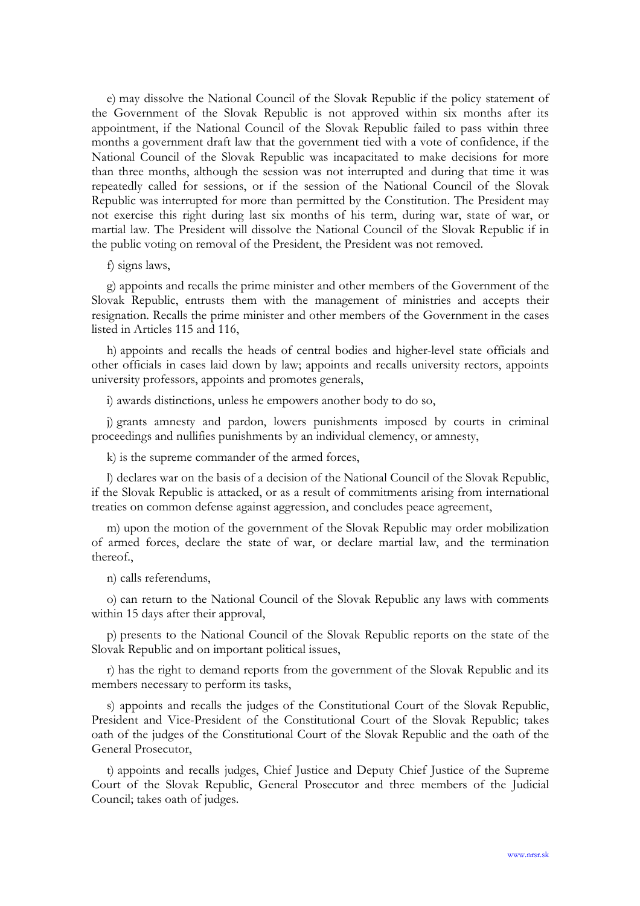e) may dissolve the National Council of the Slovak Republic if the policy statement of the Government of the Slovak Republic is not approved within six months after its appointment, if the National Council of the Slovak Republic failed to pass within three months a government draft law that the government tied with a vote of confidence, if the National Council of the Slovak Republic was incapacitated to make decisions for more than three months, although the session was not interrupted and during that time it was repeatedly called for sessions, or if the session of the National Council of the Slovak Republic was interrupted for more than permitted by the Constitution. The President may not exercise this right during last six months of his term, during war, state of war, or martial law. The President will dissolve the National Council of the Slovak Republic if in the public voting on removal of the President, the President was not removed.

### f) signs laws,

g) appoints and recalls the prime minister and other members of the Government of the Slovak Republic, entrusts them with the management of ministries and accepts their resignation. Recalls the prime minister and other members of the Government in the cases listed in Articles 115 and 116,

h) appoints and recalls the heads of central bodies and higher-level state officials and other officials in cases laid down by law; appoints and recalls university rectors, appoints university professors, appoints and promotes generals,

i) awards distinctions, unless he empowers another body to do so,

j) grants amnesty and pardon, lowers punishments imposed by courts in criminal proceedings and nullifies punishments by an individual clemency, or amnesty,

k) is the supreme commander of the armed forces,

l) declares war on the basis of a decision of the National Council of the Slovak Republic, if the Slovak Republic is attacked, or as a result of commitments arising from international treaties on common defense against aggression, and concludes peace agreement,

m) upon the motion of the government of the Slovak Republic may order mobilization of armed forces, declare the state of war, or declare martial law, and the termination thereof.,

n) calls referendums,

o) can return to the National Council of the Slovak Republic any laws with comments within 15 days after their approval,

p) presents to the National Council of the Slovak Republic reports on the state of the Slovak Republic and on important political issues,

r) has the right to demand reports from the government of the Slovak Republic and its members necessary to perform its tasks,

s) appoints and recalls the judges of the Constitutional Court of the Slovak Republic, President and Vice-President of the Constitutional Court of the Slovak Republic; takes oath of the judges of the Constitutional Court of the Slovak Republic and the oath of the General Prosecutor,

t) appoints and recalls judges, Chief Justice and Deputy Chief Justice of the Supreme Court of the Slovak Republic, General Prosecutor and three members of the Judicial Council; takes oath of judges.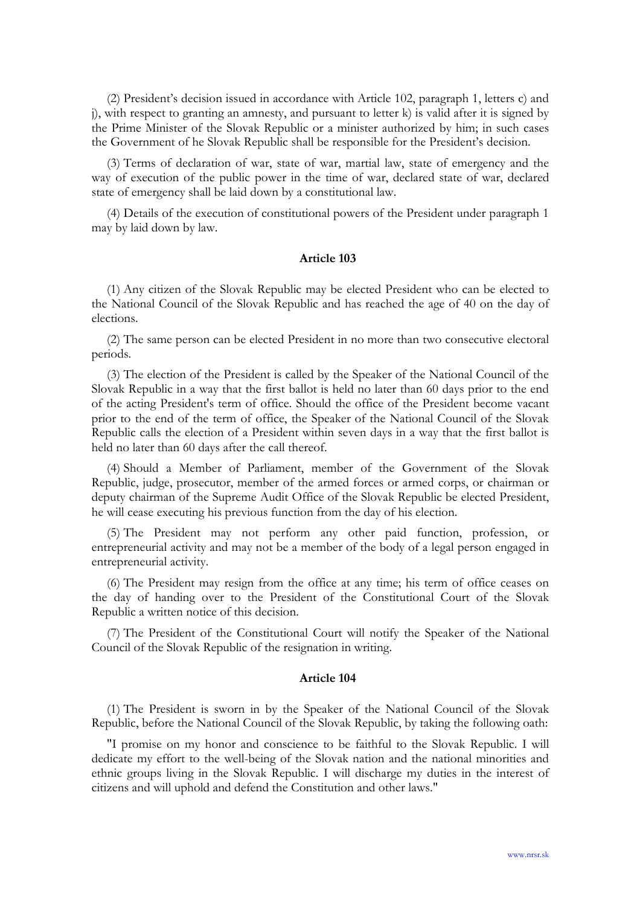(2) President's decision issued in accordance with Article 102, paragraph 1, letters c) and j), with respect to granting an amnesty, and pursuant to letter k) is valid after it is signed by the Prime Minister of the Slovak Republic or a minister authorized by him; in such cases the Government of he Slovak Republic shall be responsible for the President's decision.

(3) Terms of declaration of war, state of war, martial law, state of emergency and the way of execution of the public power in the time of war, declared state of war, declared state of emergency shall be laid down by a constitutional law.

(4) Details of the execution of constitutional powers of the President under paragraph 1 may by laid down by law.

## Article 103

(1) Any citizen of the Slovak Republic may be elected President who can be elected to the National Council of the Slovak Republic and has reached the age of 40 on the day of elections.

(2) The same person can be elected President in no more than two consecutive electoral periods.

(3) The election of the President is called by the Speaker of the National Council of the Slovak Republic in a way that the first ballot is held no later than 60 days prior to the end of the acting President's term of office. Should the office of the President become vacant prior to the end of the term of office, the Speaker of the National Council of the Slovak Republic calls the election of a President within seven days in a way that the first ballot is held no later than 60 days after the call thereof.

(4) Should a Member of Parliament, member of the Government of the Slovak Republic, judge, prosecutor, member of the armed forces or armed corps, or chairman or deputy chairman of the Supreme Audit Office of the Slovak Republic be elected President, he will cease executing his previous function from the day of his election.

(5) The President may not perform any other paid function, profession, or entrepreneurial activity and may not be a member of the body of a legal person engaged in entrepreneurial activity.

(6) The President may resign from the office at any time; his term of office ceases on the day of handing over to the President of the Constitutional Court of the Slovak Republic a written notice of this decision.

(7) The President of the Constitutional Court will notify the Speaker of the National Council of the Slovak Republic of the resignation in writing.

## Article 104

(1) The President is sworn in by the Speaker of the National Council of the Slovak Republic, before the National Council of the Slovak Republic, by taking the following oath:

"I promise on my honor and conscience to be faithful to the Slovak Republic. I will dedicate my effort to the well-being of the Slovak nation and the national minorities and ethnic groups living in the Slovak Republic. I will discharge my duties in the interest of citizens and will uphold and defend the Constitution and other laws."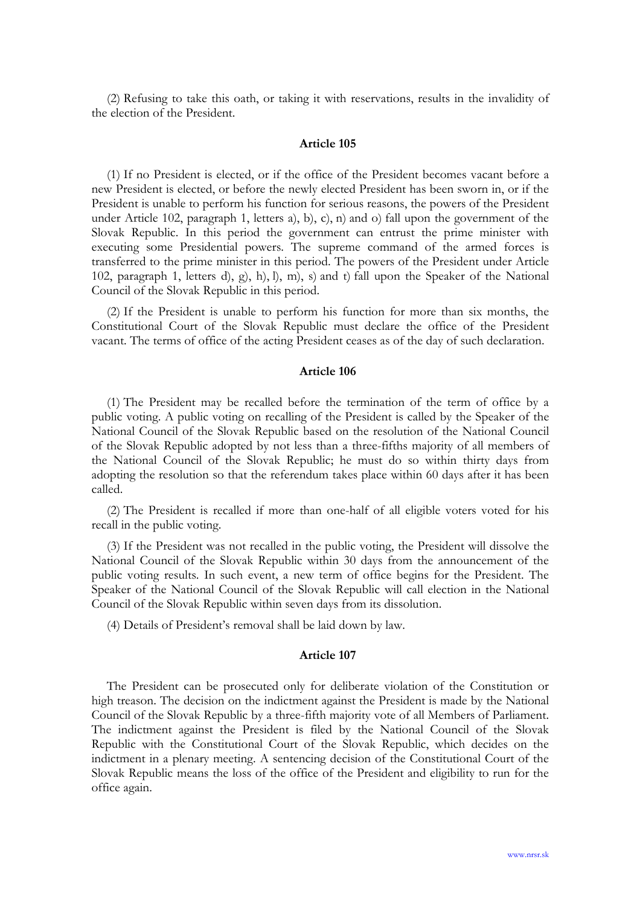(2) Refusing to take this oath, or taking it with reservations, results in the invalidity of the election of the President.

#### Article 105

(1) If no President is elected, or if the office of the President becomes vacant before a new President is elected, or before the newly elected President has been sworn in, or if the President is unable to perform his function for serious reasons, the powers of the President under Article 102, paragraph 1, letters a), b), c), n) and o) fall upon the government of the Slovak Republic. In this period the government can entrust the prime minister with executing some Presidential powers. The supreme command of the armed forces is transferred to the prime minister in this period. The powers of the President under Article 102, paragraph 1, letters d), g), h), l), m), s) and t) fall upon the Speaker of the National Council of the Slovak Republic in this period.

(2) If the President is unable to perform his function for more than six months, the Constitutional Court of the Slovak Republic must declare the office of the President vacant. The terms of office of the acting President ceases as of the day of such declaration.

## Article 106

(1) The President may be recalled before the termination of the term of office by a public voting. A public voting on recalling of the President is called by the Speaker of the National Council of the Slovak Republic based on the resolution of the National Council of the Slovak Republic adopted by not less than a three-fifths majority of all members of the National Council of the Slovak Republic; he must do so within thirty days from adopting the resolution so that the referendum takes place within 60 days after it has been called.

(2) The President is recalled if more than one-half of all eligible voters voted for his recall in the public voting.

(3) If the President was not recalled in the public voting, the President will dissolve the National Council of the Slovak Republic within 30 days from the announcement of the public voting results. In such event, a new term of office begins for the President. The Speaker of the National Council of the Slovak Republic will call election in the National Council of the Slovak Republic within seven days from its dissolution.

(4) Details of President's removal shall be laid down by law.

### Article 107

The President can be prosecuted only for deliberate violation of the Constitution or high treason. The decision on the indictment against the President is made by the National Council of the Slovak Republic by a three-fifth majority vote of all Members of Parliament. The indictment against the President is filed by the National Council of the Slovak Republic with the Constitutional Court of the Slovak Republic, which decides on the indictment in a plenary meeting. A sentencing decision of the Constitutional Court of the Slovak Republic means the loss of the office of the President and eligibility to run for the office again.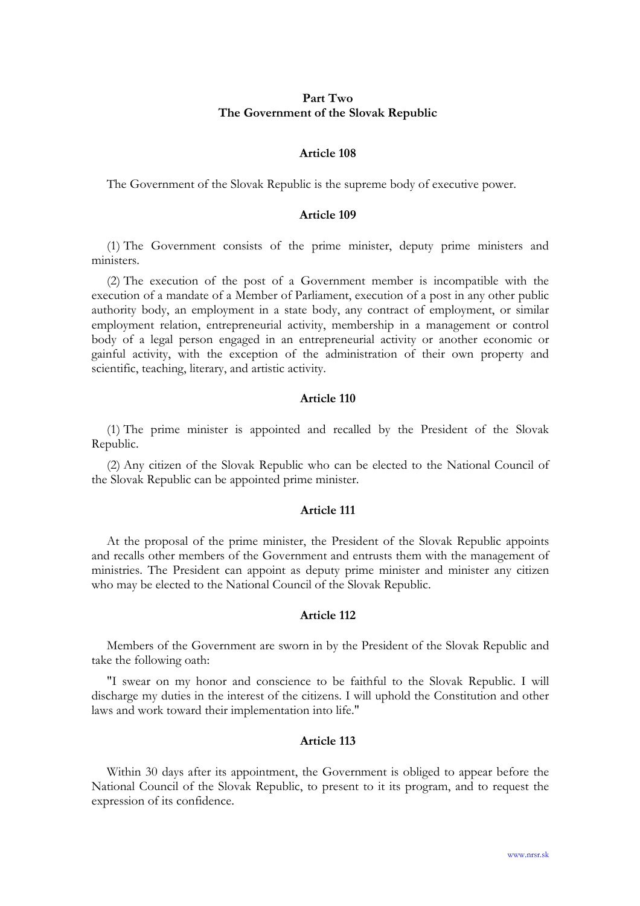## Part Two The Government of the Slovak Republic

#### Article 108

The Government of the Slovak Republic is the supreme body of executive power.

### Article 109

(1) The Government consists of the prime minister, deputy prime ministers and ministers.

(2) The execution of the post of a Government member is incompatible with the execution of a mandate of a Member of Parliament, execution of a post in any other public authority body, an employment in a state body, any contract of employment, or similar employment relation, entrepreneurial activity, membership in a management or control body of a legal person engaged in an entrepreneurial activity or another economic or gainful activity, with the exception of the administration of their own property and scientific, teaching, literary, and artistic activity.

### Article 110

(1) The prime minister is appointed and recalled by the President of the Slovak Republic.

(2) Any citizen of the Slovak Republic who can be elected to the National Council of the Slovak Republic can be appointed prime minister.

#### Article 111

At the proposal of the prime minister, the President of the Slovak Republic appoints and recalls other members of the Government and entrusts them with the management of ministries. The President can appoint as deputy prime minister and minister any citizen who may be elected to the National Council of the Slovak Republic.

### Article 112

Members of the Government are sworn in by the President of the Slovak Republic and take the following oath:

"I swear on my honor and conscience to be faithful to the Slovak Republic. I will discharge my duties in the interest of the citizens. I will uphold the Constitution and other laws and work toward their implementation into life."

## Article 113

Within 30 days after its appointment, the Government is obliged to appear before the National Council of the Slovak Republic, to present to it its program, and to request the expression of its confidence.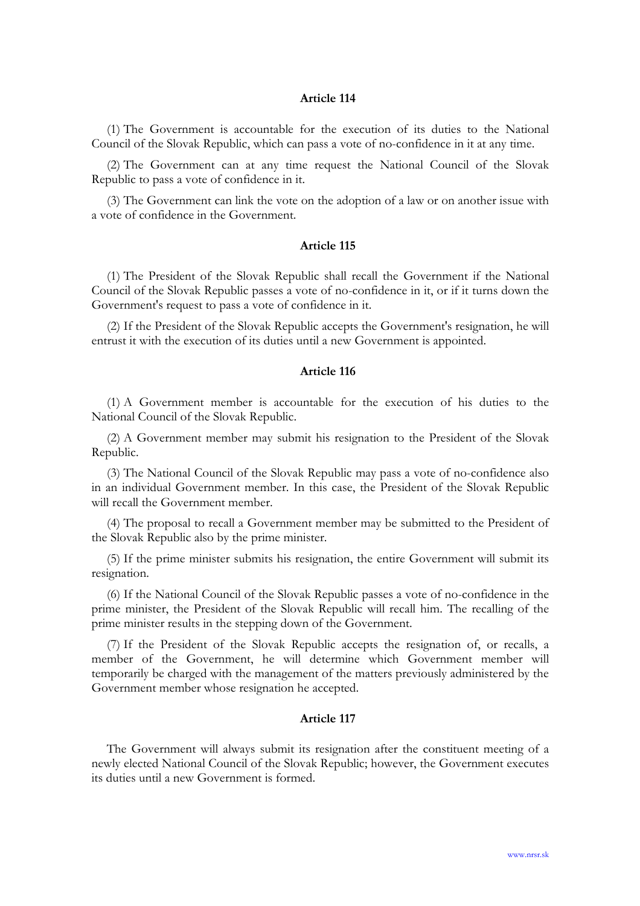(1) The Government is accountable for the execution of its duties to the National Council of the Slovak Republic, which can pass a vote of no-confidence in it at any time.

(2) The Government can at any time request the National Council of the Slovak Republic to pass a vote of confidence in it.

(3) The Government can link the vote on the adoption of a law or on another issue with a vote of confidence in the Government.

## Article 115

(1) The President of the Slovak Republic shall recall the Government if the National Council of the Slovak Republic passes a vote of no-confidence in it, or if it turns down the Government's request to pass a vote of confidence in it.

(2) If the President of the Slovak Republic accepts the Government's resignation, he will entrust it with the execution of its duties until a new Government is appointed.

### Article 116

(1) A Government member is accountable for the execution of his duties to the National Council of the Slovak Republic.

(2) A Government member may submit his resignation to the President of the Slovak Republic.

(3) The National Council of the Slovak Republic may pass a vote of no-confidence also in an individual Government member. In this case, the President of the Slovak Republic will recall the Government member.

(4) The proposal to recall a Government member may be submitted to the President of the Slovak Republic also by the prime minister.

(5) If the prime minister submits his resignation, the entire Government will submit its resignation.

(6) If the National Council of the Slovak Republic passes a vote of no-confidence in the prime minister, the President of the Slovak Republic will recall him. The recalling of the prime minister results in the stepping down of the Government.

(7) If the President of the Slovak Republic accepts the resignation of, or recalls, a member of the Government, he will determine which Government member will temporarily be charged with the management of the matters previously administered by the Government member whose resignation he accepted.

### Article 117

The Government will always submit its resignation after the constituent meeting of a newly elected National Council of the Slovak Republic; however, the Government executes its duties until a new Government is formed.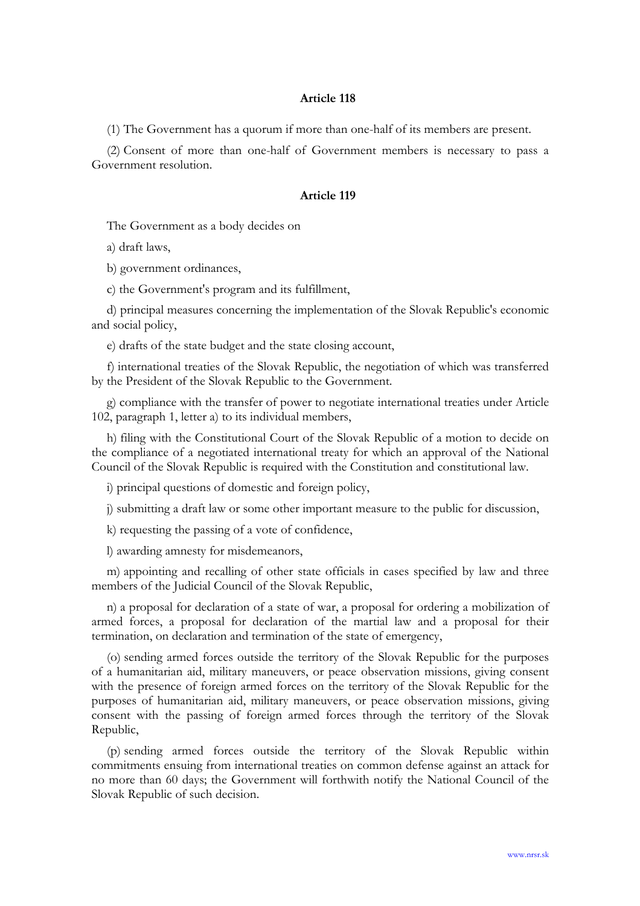(1) The Government has a quorum if more than one-half of its members are present.

(2) Consent of more than one-half of Government members is necessary to pass a Government resolution.

## Article 119

The Government as a body decides on

a) draft laws,

b) government ordinances,

c) the Government's program and its fulfillment,

d) principal measures concerning the implementation of the Slovak Republic's economic and social policy,

e) drafts of the state budget and the state closing account,

f) international treaties of the Slovak Republic, the negotiation of which was transferred by the President of the Slovak Republic to the Government.

g) compliance with the transfer of power to negotiate international treaties under Article 102, paragraph 1, letter a) to its individual members,

h) filing with the Constitutional Court of the Slovak Republic of a motion to decide on the compliance of a negotiated international treaty for which an approval of the National Council of the Slovak Republic is required with the Constitution and constitutional law.

i) principal questions of domestic and foreign policy,

j) submitting a draft law or some other important measure to the public for discussion,

k) requesting the passing of a vote of confidence,

l) awarding amnesty for misdemeanors,

m) appointing and recalling of other state officials in cases specified by law and three members of the Judicial Council of the Slovak Republic,

n) a proposal for declaration of a state of war, a proposal for ordering a mobilization of armed forces, a proposal for declaration of the martial law and a proposal for their termination, on declaration and termination of the state of emergency,

(o) sending armed forces outside the territory of the Slovak Republic for the purposes of a humanitarian aid, military maneuvers, or peace observation missions, giving consent with the presence of foreign armed forces on the territory of the Slovak Republic for the purposes of humanitarian aid, military maneuvers, or peace observation missions, giving consent with the passing of foreign armed forces through the territory of the Slovak Republic,

(p) sending armed forces outside the territory of the Slovak Republic within commitments ensuing from international treaties on common defense against an attack for no more than 60 days; the Government will forthwith notify the National Council of the Slovak Republic of such decision.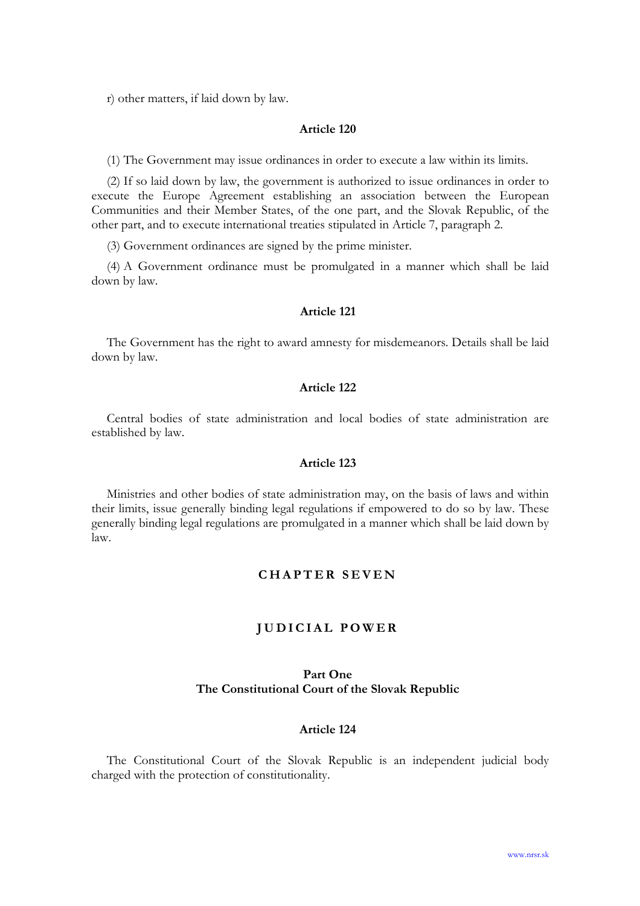r) other matters, if laid down by law.

## Article 120

(1) The Government may issue ordinances in order to execute a law within its limits.

(2) If so laid down by law, the government is authorized to issue ordinances in order to execute the Europe Agreement establishing an association between the European Communities and their Member States, of the one part, and the Slovak Republic, of the other part, and to execute international treaties stipulated in Article 7, paragraph 2.

(3) Government ordinances are signed by the prime minister.

(4) A Government ordinance must be promulgated in a manner which shall be laid down by law.

### Article 121

The Government has the right to award amnesty for misdemeanors. Details shall be laid down by law.

## Article 122

Central bodies of state administration and local bodies of state administration are established by law.

### Article 123

Ministries and other bodies of state administration may, on the basis of laws and within their limits, issue generally binding legal regulations if empowered to do so by law. These generally binding legal regulations are promulgated in a manner which shall be laid down by law.

# CHAPTER SEVEN

### JUDICIAL POWER

## Part One The Constitutional Court of the Slovak Republic

## Article 124

The Constitutional Court of the Slovak Republic is an independent judicial body charged with the protection of constitutionality.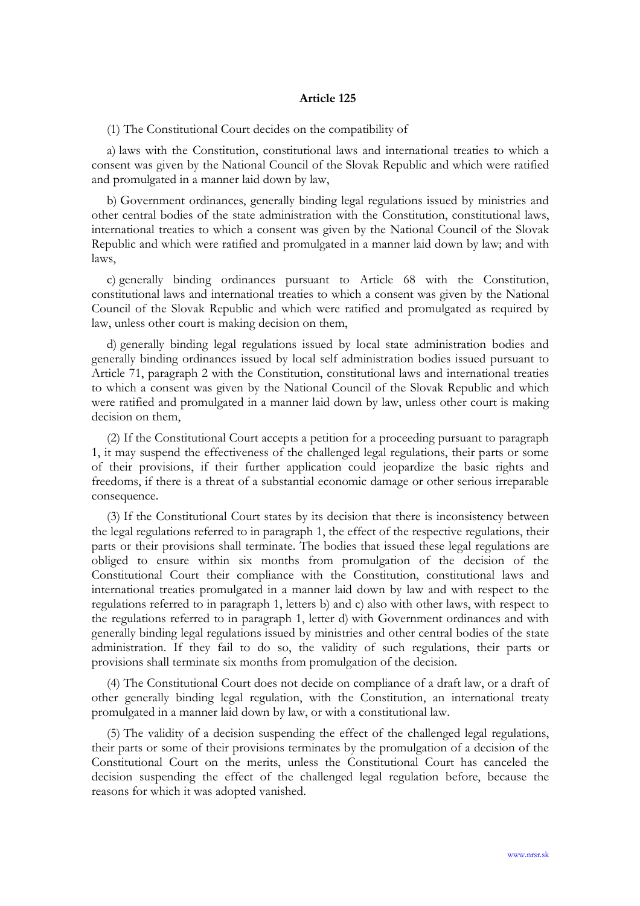(1) The Constitutional Court decides on the compatibility of

a) laws with the Constitution, constitutional laws and international treaties to which a consent was given by the National Council of the Slovak Republic and which were ratified and promulgated in a manner laid down by law,

b) Government ordinances, generally binding legal regulations issued by ministries and other central bodies of the state administration with the Constitution, constitutional laws, international treaties to which a consent was given by the National Council of the Slovak Republic and which were ratified and promulgated in a manner laid down by law; and with laws,

c) generally binding ordinances pursuant to Article 68 with the Constitution, constitutional laws and international treaties to which a consent was given by the National Council of the Slovak Republic and which were ratified and promulgated as required by law, unless other court is making decision on them,

d) generally binding legal regulations issued by local state administration bodies and generally binding ordinances issued by local self administration bodies issued pursuant to Article 71, paragraph 2 with the Constitution, constitutional laws and international treaties to which a consent was given by the National Council of the Slovak Republic and which were ratified and promulgated in a manner laid down by law, unless other court is making decision on them,

(2) If the Constitutional Court accepts a petition for a proceeding pursuant to paragraph 1, it may suspend the effectiveness of the challenged legal regulations, their parts or some of their provisions, if their further application could jeopardize the basic rights and freedoms, if there is a threat of a substantial economic damage or other serious irreparable consequence.

(3) If the Constitutional Court states by its decision that there is inconsistency between the legal regulations referred to in paragraph 1, the effect of the respective regulations, their parts or their provisions shall terminate. The bodies that issued these legal regulations are obliged to ensure within six months from promulgation of the decision of the Constitutional Court their compliance with the Constitution, constitutional laws and international treaties promulgated in a manner laid down by law and with respect to the regulations referred to in paragraph 1, letters b) and c) also with other laws, with respect to the regulations referred to in paragraph 1, letter d) with Government ordinances and with generally binding legal regulations issued by ministries and other central bodies of the state administration. If they fail to do so, the validity of such regulations, their parts or provisions shall terminate six months from promulgation of the decision.

(4) The Constitutional Court does not decide on compliance of a draft law, or a draft of other generally binding legal regulation, with the Constitution, an international treaty promulgated in a manner laid down by law, or with a constitutional law.

(5) The validity of a decision suspending the effect of the challenged legal regulations, their parts or some of their provisions terminates by the promulgation of a decision of the Constitutional Court on the merits, unless the Constitutional Court has canceled the decision suspending the effect of the challenged legal regulation before, because the reasons for which it was adopted vanished.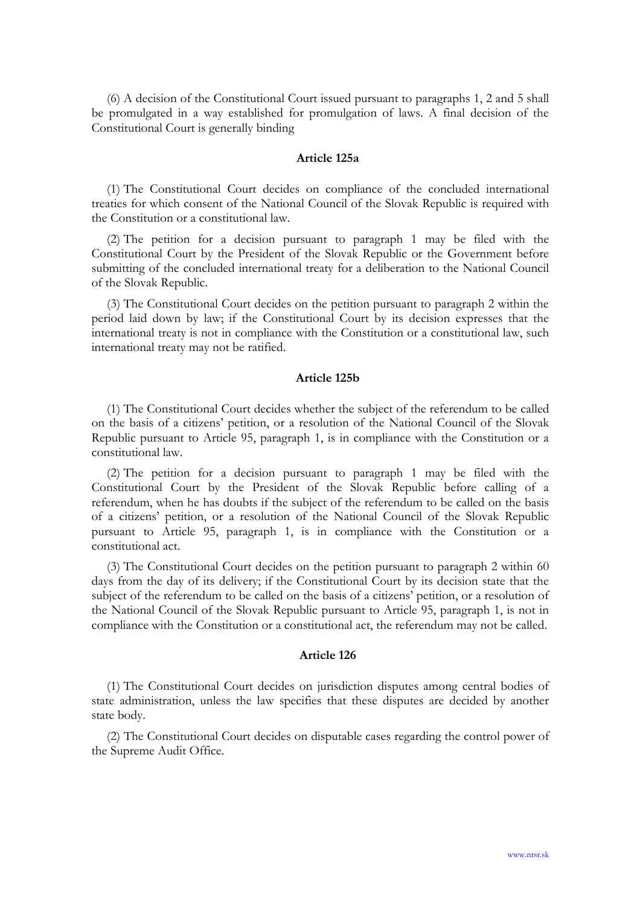(6) A decision of the Constitutional Court issued pursuant to paragraphs 1, 2 and 5 shall be promulgated in a way established for promulgation of laws. A final decision of the Constitutional Court is generally binding

## Article 125a

(1) The Constitutional Court decides on compliance of the concluded international treaties for which consent of the National Council of the Slovak Republic is required with the Constitution or a constitutional law.

(2) The petition for a decision pursuant to paragraph 1 may be filed with the Constitutional Court by the President of the Slovak Republic or the Government before submitting of the concluded international treaty for a deliberation to the National Council of the Slovak Republic.

(3) The Constitutional Court decides on the petition pursuant to paragraph 2 within the period laid down by law; if the Constitutional Court by its decision expresses that the international treaty is not in compliance with the Constitution or a constitutional law, such international treaty may not be ratified.

### Article 125b

(1) The Constitutional Court decides whether the subject of the referendum to be called on the basis of a citizens' petition, or a resolution of the National Council of the Slovak Republic pursuant to Article 95, paragraph 1, is in compliance with the Constitution or a constitutional law.

(2) The petition for a decision pursuant to paragraph 1 may be filed with the Constitutional Court by the President of the Slovak Republic before calling of a referendum, when he has doubts if the subject of the referendum to be called on the basis of a citizens' petition, or a resolution of the National Council of the Slovak Republic pursuant to Article 95, paragraph 1, is in compliance with the Constitution or a constitutional act.

(3) The Constitutional Court decides on the petition pursuant to paragraph 2 within 60 days from the day of its delivery; if the Constitutional Court by its decision state that the subject of the referendum to be called on the basis of a citizens' petition, or a resolution of the National Council of the Slovak Republic pursuant to Article 95, paragraph 1, is not in compliance with the Constitution or a constitutional act, the referendum may not be called.

#### Article 126

(1) The Constitutional Court decides on jurisdiction disputes among central bodies of state administration, unless the law specifies that these disputes are decided by another state body.

(2) The Constitutional Court decides on disputable cases regarding the control power of the Supreme Audit Office.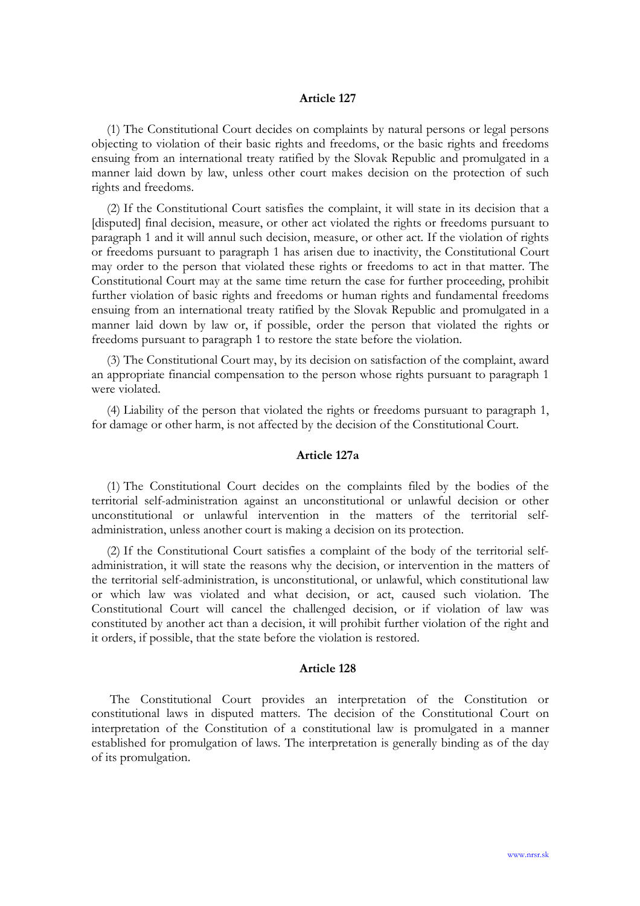(1) The Constitutional Court decides on complaints by natural persons or legal persons objecting to violation of their basic rights and freedoms, or the basic rights and freedoms ensuing from an international treaty ratified by the Slovak Republic and promulgated in a manner laid down by law, unless other court makes decision on the protection of such rights and freedoms.

(2) If the Constitutional Court satisfies the complaint, it will state in its decision that a [disputed] final decision, measure, or other act violated the rights or freedoms pursuant to paragraph 1 and it will annul such decision, measure, or other act. If the violation of rights or freedoms pursuant to paragraph 1 has arisen due to inactivity, the Constitutional Court may order to the person that violated these rights or freedoms to act in that matter. The Constitutional Court may at the same time return the case for further proceeding, prohibit further violation of basic rights and freedoms or human rights and fundamental freedoms ensuing from an international treaty ratified by the Slovak Republic and promulgated in a manner laid down by law or, if possible, order the person that violated the rights or freedoms pursuant to paragraph 1 to restore the state before the violation.

(3) The Constitutional Court may, by its decision on satisfaction of the complaint, award an appropriate financial compensation to the person whose rights pursuant to paragraph 1 were violated.

(4) Liability of the person that violated the rights or freedoms pursuant to paragraph 1, for damage or other harm, is not affected by the decision of the Constitutional Court.

### Article 127a

(1) The Constitutional Court decides on the complaints filed by the bodies of the territorial self-administration against an unconstitutional or unlawful decision or other unconstitutional or unlawful intervention in the matters of the territorial selfadministration, unless another court is making a decision on its protection.

(2) If the Constitutional Court satisfies a complaint of the body of the territorial selfadministration, it will state the reasons why the decision, or intervention in the matters of the territorial self-administration, is unconstitutional, or unlawful, which constitutional law or which law was violated and what decision, or act, caused such violation. The Constitutional Court will cancel the challenged decision, or if violation of law was constituted by another act than a decision, it will prohibit further violation of the right and it orders, if possible, that the state before the violation is restored.

#### Article 128

 The Constitutional Court provides an interpretation of the Constitution or constitutional laws in disputed matters. The decision of the Constitutional Court on interpretation of the Constitution of a constitutional law is promulgated in a manner established for promulgation of laws. The interpretation is generally binding as of the day of its promulgation.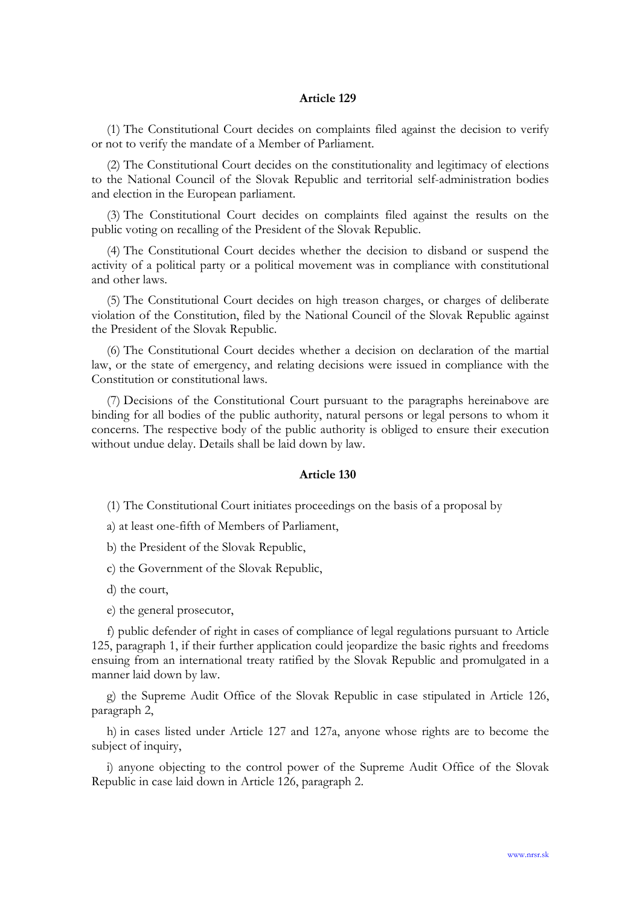(1) The Constitutional Court decides on complaints filed against the decision to verify or not to verify the mandate of a Member of Parliament.

(2) The Constitutional Court decides on the constitutionality and legitimacy of elections to the National Council of the Slovak Republic and territorial self-administration bodies and election in the European parliament.

(3) The Constitutional Court decides on complaints filed against the results on the public voting on recalling of the President of the Slovak Republic.

(4) The Constitutional Court decides whether the decision to disband or suspend the activity of a political party or a political movement was in compliance with constitutional and other laws.

(5) The Constitutional Court decides on high treason charges, or charges of deliberate violation of the Constitution, filed by the National Council of the Slovak Republic against the President of the Slovak Republic.

(6) The Constitutional Court decides whether a decision on declaration of the martial law, or the state of emergency, and relating decisions were issued in compliance with the Constitution or constitutional laws.

(7) Decisions of the Constitutional Court pursuant to the paragraphs hereinabove are binding for all bodies of the public authority, natural persons or legal persons to whom it concerns. The respective body of the public authority is obliged to ensure their execution without undue delay. Details shall be laid down by law.

### Article 130

(1) The Constitutional Court initiates proceedings on the basis of a proposal by

a) at least one-fifth of Members of Parliament,

b) the President of the Slovak Republic,

c) the Government of the Slovak Republic,

d) the court,

e) the general prosecutor,

f) public defender of right in cases of compliance of legal regulations pursuant to Article 125, paragraph 1, if their further application could jeopardize the basic rights and freedoms ensuing from an international treaty ratified by the Slovak Republic and promulgated in a manner laid down by law.

g) the Supreme Audit Office of the Slovak Republic in case stipulated in Article 126, paragraph 2,

h) in cases listed under Article 127 and 127a, anyone whose rights are to become the subject of inquiry,

i) anyone objecting to the control power of the Supreme Audit Office of the Slovak Republic in case laid down in Article 126, paragraph 2.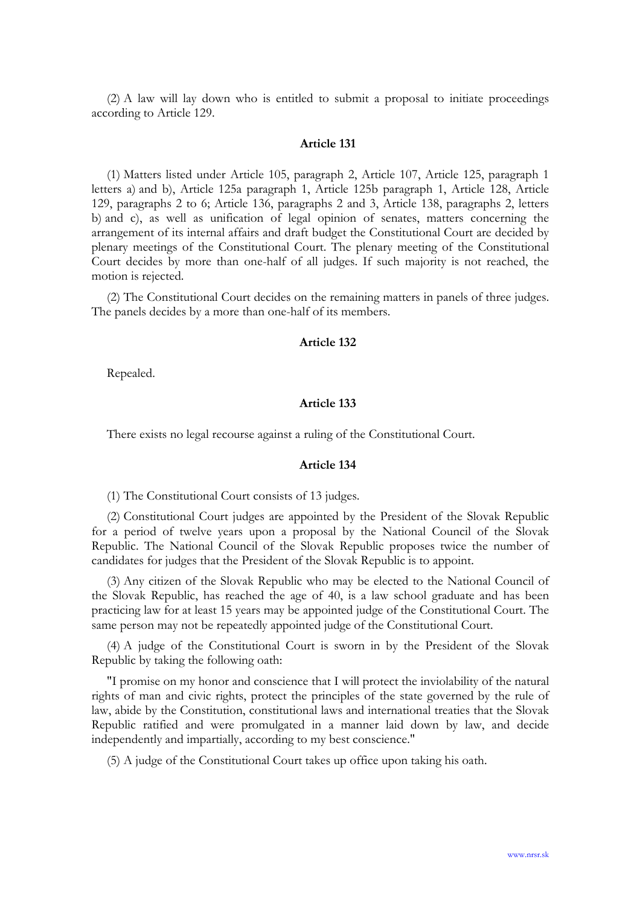(2) A law will lay down who is entitled to submit a proposal to initiate proceedings according to Article 129.

#### Article 131

(1) Matters listed under Article 105, paragraph 2, Article 107, Article 125, paragraph 1 letters a) and b), Article 125a paragraph 1, Article 125b paragraph 1, Article 128, Article 129, paragraphs 2 to 6; Article 136, paragraphs 2 and 3, Article 138, paragraphs 2, letters b) and c), as well as unification of legal opinion of senates, matters concerning the arrangement of its internal affairs and draft budget the Constitutional Court are decided by plenary meetings of the Constitutional Court. The plenary meeting of the Constitutional Court decides by more than one-half of all judges. If such majority is not reached, the motion is rejected.

(2) The Constitutional Court decides on the remaining matters in panels of three judges. The panels decides by a more than one-half of its members.

#### Article 132

Repealed.

#### Article 133

There exists no legal recourse against a ruling of the Constitutional Court.

#### Article 134

(1) The Constitutional Court consists of 13 judges.

(2) Constitutional Court judges are appointed by the President of the Slovak Republic for a period of twelve years upon a proposal by the National Council of the Slovak Republic. The National Council of the Slovak Republic proposes twice the number of candidates for judges that the President of the Slovak Republic is to appoint.

(3) Any citizen of the Slovak Republic who may be elected to the National Council of the Slovak Republic, has reached the age of 40, is a law school graduate and has been practicing law for at least 15 years may be appointed judge of the Constitutional Court. The same person may not be repeatedly appointed judge of the Constitutional Court.

(4) A judge of the Constitutional Court is sworn in by the President of the Slovak Republic by taking the following oath:

"I promise on my honor and conscience that I will protect the inviolability of the natural rights of man and civic rights, protect the principles of the state governed by the rule of law, abide by the Constitution, constitutional laws and international treaties that the Slovak Republic ratified and were promulgated in a manner laid down by law, and decide independently and impartially, according to my best conscience."

(5) A judge of the Constitutional Court takes up office upon taking his oath.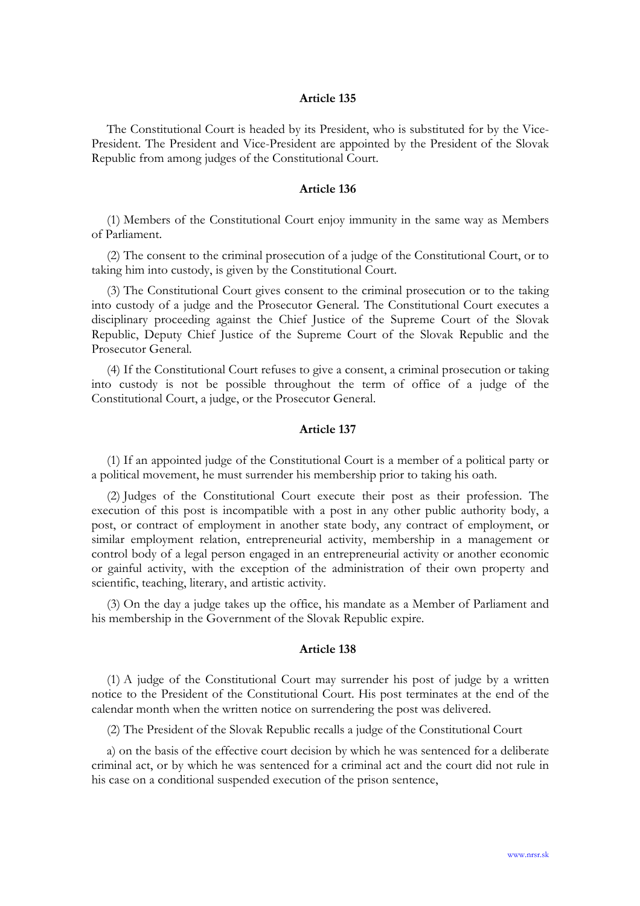The Constitutional Court is headed by its President, who is substituted for by the Vice-President. The President and Vice-President are appointed by the President of the Slovak Republic from among judges of the Constitutional Court.

### Article 136

(1) Members of the Constitutional Court enjoy immunity in the same way as Members of Parliament.

(2) The consent to the criminal prosecution of a judge of the Constitutional Court, or to taking him into custody, is given by the Constitutional Court.

(3) The Constitutional Court gives consent to the criminal prosecution or to the taking into custody of a judge and the Prosecutor General. The Constitutional Court executes a disciplinary proceeding against the Chief Justice of the Supreme Court of the Slovak Republic, Deputy Chief Justice of the Supreme Court of the Slovak Republic and the Prosecutor General.

(4) If the Constitutional Court refuses to give a consent, a criminal prosecution or taking into custody is not be possible throughout the term of office of a judge of the Constitutional Court, a judge, or the Prosecutor General.

### Article 137

(1) If an appointed judge of the Constitutional Court is a member of a political party or a political movement, he must surrender his membership prior to taking his oath.

(2) Judges of the Constitutional Court execute their post as their profession. The execution of this post is incompatible with a post in any other public authority body, a post, or contract of employment in another state body, any contract of employment, or similar employment relation, entrepreneurial activity, membership in a management or control body of a legal person engaged in an entrepreneurial activity or another economic or gainful activity, with the exception of the administration of their own property and scientific, teaching, literary, and artistic activity.

(3) On the day a judge takes up the office, his mandate as a Member of Parliament and his membership in the Government of the Slovak Republic expire.

#### Article 138

(1) A judge of the Constitutional Court may surrender his post of judge by a written notice to the President of the Constitutional Court. His post terminates at the end of the calendar month when the written notice on surrendering the post was delivered.

(2) The President of the Slovak Republic recalls a judge of the Constitutional Court

a) on the basis of the effective court decision by which he was sentenced for a deliberate criminal act, or by which he was sentenced for a criminal act and the court did not rule in his case on a conditional suspended execution of the prison sentence,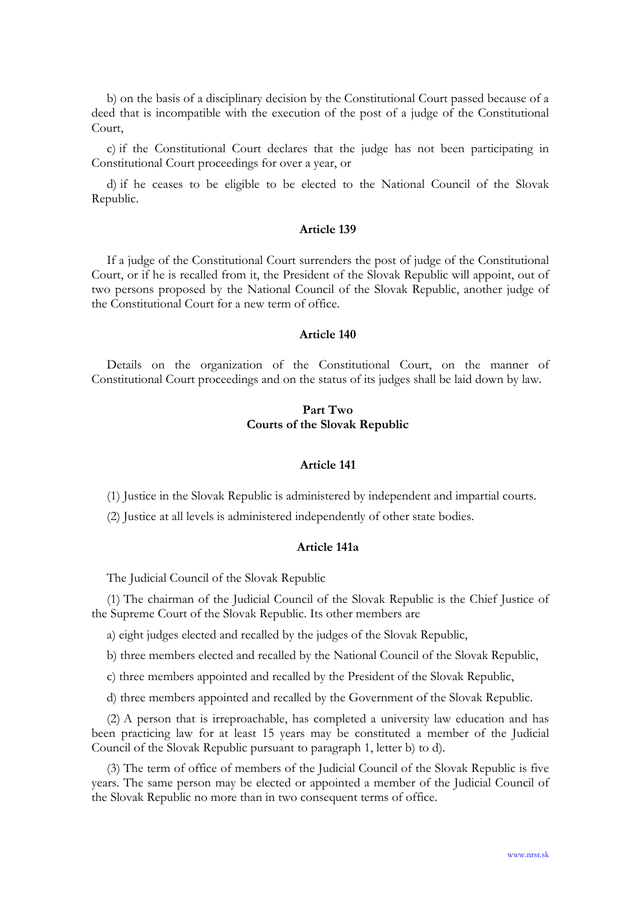b) on the basis of a disciplinary decision by the Constitutional Court passed because of a deed that is incompatible with the execution of the post of a judge of the Constitutional Court,

c) if the Constitutional Court declares that the judge has not been participating in Constitutional Court proceedings for over a year, or

d) if he ceases to be eligible to be elected to the National Council of the Slovak Republic.

## Article 139

If a judge of the Constitutional Court surrenders the post of judge of the Constitutional Court, or if he is recalled from it, the President of the Slovak Republic will appoint, out of two persons proposed by the National Council of the Slovak Republic, another judge of the Constitutional Court for a new term of office.

### Article 140

Details on the organization of the Constitutional Court, on the manner of Constitutional Court proceedings and on the status of its judges shall be laid down by law.

# Part Two Courts of the Slovak Republic

### Article 141

(1) Justice in the Slovak Republic is administered by independent and impartial courts.

(2) Justice at all levels is administered independently of other state bodies.

### Article 141a

The Judicial Council of the Slovak Republic

(1) The chairman of the Judicial Council of the Slovak Republic is the Chief Justice of the Supreme Court of the Slovak Republic. Its other members are

a) eight judges elected and recalled by the judges of the Slovak Republic,

b) three members elected and recalled by the National Council of the Slovak Republic,

c) three members appointed and recalled by the President of the Slovak Republic,

d) three members appointed and recalled by the Government of the Slovak Republic.

(2) A person that is irreproachable, has completed a university law education and has been practicing law for at least 15 years may be constituted a member of the Judicial Council of the Slovak Republic pursuant to paragraph 1, letter b) to d).

(3) The term of office of members of the Judicial Council of the Slovak Republic is five years. The same person may be elected or appointed a member of the Judicial Council of the Slovak Republic no more than in two consequent terms of office.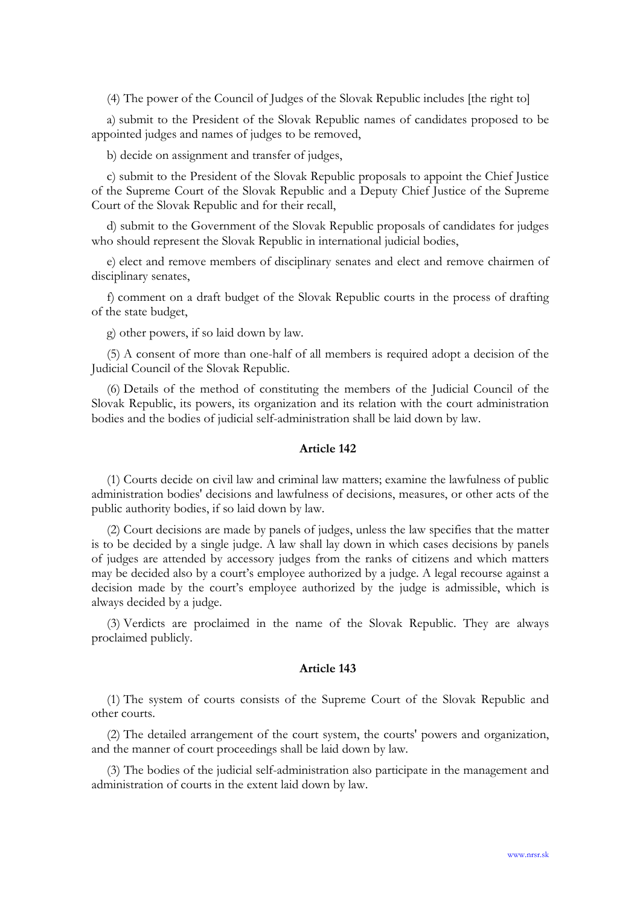(4) The power of the Council of Judges of the Slovak Republic includes [the right to]

a) submit to the President of the Slovak Republic names of candidates proposed to be appointed judges and names of judges to be removed,

b) decide on assignment and transfer of judges,

c) submit to the President of the Slovak Republic proposals to appoint the Chief Justice of the Supreme Court of the Slovak Republic and a Deputy Chief Justice of the Supreme Court of the Slovak Republic and for their recall,

d) submit to the Government of the Slovak Republic proposals of candidates for judges who should represent the Slovak Republic in international judicial bodies,

e) elect and remove members of disciplinary senates and elect and remove chairmen of disciplinary senates,

f) comment on a draft budget of the Slovak Republic courts in the process of drafting of the state budget,

g) other powers, if so laid down by law.

(5) A consent of more than one-half of all members is required adopt a decision of the Judicial Council of the Slovak Republic.

(6) Details of the method of constituting the members of the Judicial Council of the Slovak Republic, its powers, its organization and its relation with the court administration bodies and the bodies of judicial self-administration shall be laid down by law.

## Article 142

(1) Courts decide on civil law and criminal law matters; examine the lawfulness of public administration bodies' decisions and lawfulness of decisions, measures, or other acts of the public authority bodies, if so laid down by law.

(2) Court decisions are made by panels of judges, unless the law specifies that the matter is to be decided by a single judge. A law shall lay down in which cases decisions by panels of judges are attended by accessory judges from the ranks of citizens and which matters may be decided also by a court's employee authorized by a judge. A legal recourse against a decision made by the court's employee authorized by the judge is admissible, which is always decided by a judge.

(3) Verdicts are proclaimed in the name of the Slovak Republic. They are always proclaimed publicly.

#### Article 143

(1) The system of courts consists of the Supreme Court of the Slovak Republic and other courts.

(2) The detailed arrangement of the court system, the courts' powers and organization, and the manner of court proceedings shall be laid down by law.

(3) The bodies of the judicial self-administration also participate in the management and administration of courts in the extent laid down by law.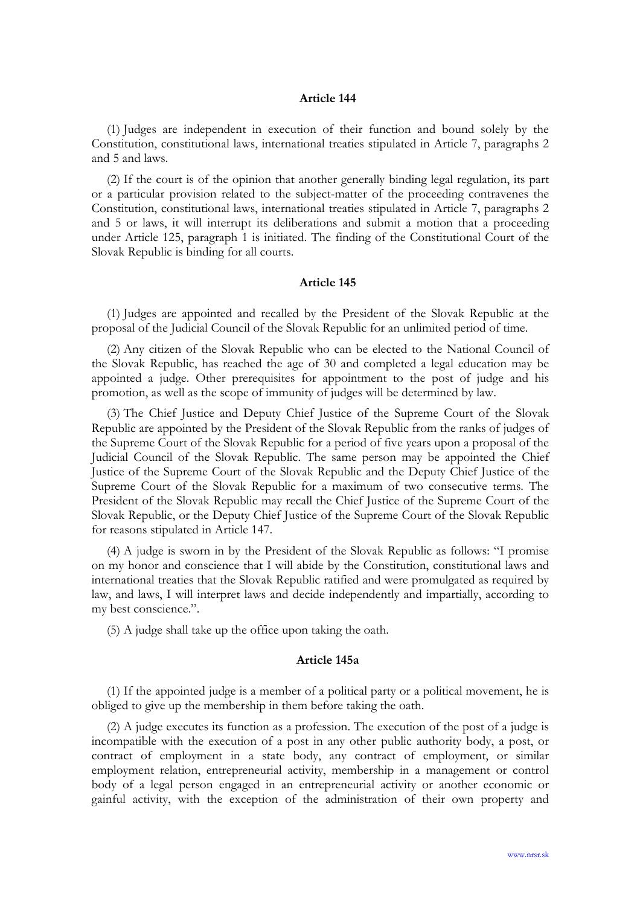(1) Judges are independent in execution of their function and bound solely by the Constitution, constitutional laws, international treaties stipulated in Article 7, paragraphs 2 and 5 and laws.

(2) If the court is of the opinion that another generally binding legal regulation, its part or a particular provision related to the subject-matter of the proceeding contravenes the Constitution, constitutional laws, international treaties stipulated in Article 7, paragraphs 2 and 5 or laws, it will interrupt its deliberations and submit a motion that a proceeding under Article 125, paragraph 1 is initiated. The finding of the Constitutional Court of the Slovak Republic is binding for all courts.

### Article 145

(1) Judges are appointed and recalled by the President of the Slovak Republic at the proposal of the Judicial Council of the Slovak Republic for an unlimited period of time.

(2) Any citizen of the Slovak Republic who can be elected to the National Council of the Slovak Republic, has reached the age of 30 and completed a legal education may be appointed a judge. Other prerequisites for appointment to the post of judge and his promotion, as well as the scope of immunity of judges will be determined by law.

(3) The Chief Justice and Deputy Chief Justice of the Supreme Court of the Slovak Republic are appointed by the President of the Slovak Republic from the ranks of judges of the Supreme Court of the Slovak Republic for a period of five years upon a proposal of the Judicial Council of the Slovak Republic. The same person may be appointed the Chief Justice of the Supreme Court of the Slovak Republic and the Deputy Chief Justice of the Supreme Court of the Slovak Republic for a maximum of two consecutive terms. The President of the Slovak Republic may recall the Chief Justice of the Supreme Court of the Slovak Republic, or the Deputy Chief Justice of the Supreme Court of the Slovak Republic for reasons stipulated in Article 147.

(4) A judge is sworn in by the President of the Slovak Republic as follows: "I promise on my honor and conscience that I will abide by the Constitution, constitutional laws and international treaties that the Slovak Republic ratified and were promulgated as required by law, and laws, I will interpret laws and decide independently and impartially, according to my best conscience.".

(5) A judge shall take up the office upon taking the oath.

## Article 145a

(1) If the appointed judge is a member of a political party or a political movement, he is obliged to give up the membership in them before taking the oath.

(2) A judge executes its function as a profession. The execution of the post of a judge is incompatible with the execution of a post in any other public authority body, a post, or contract of employment in a state body, any contract of employment, or similar employment relation, entrepreneurial activity, membership in a management or control body of a legal person engaged in an entrepreneurial activity or another economic or gainful activity, with the exception of the administration of their own property and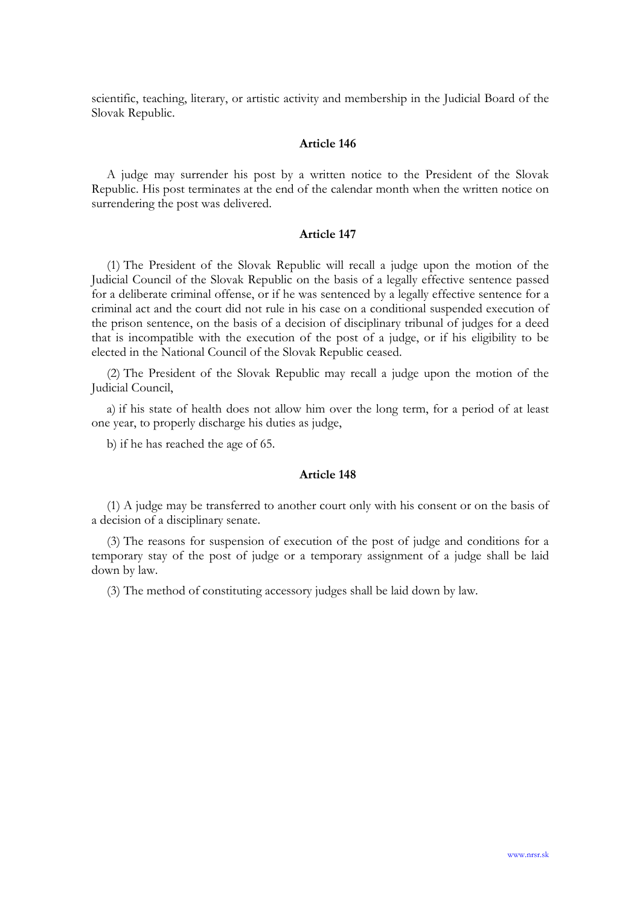scientific, teaching, literary, or artistic activity and membership in the Judicial Board of the Slovak Republic.

### Article 146

A judge may surrender his post by a written notice to the President of the Slovak Republic. His post terminates at the end of the calendar month when the written notice on surrendering the post was delivered.

## Article 147

(1) The President of the Slovak Republic will recall a judge upon the motion of the Judicial Council of the Slovak Republic on the basis of a legally effective sentence passed for a deliberate criminal offense, or if he was sentenced by a legally effective sentence for a criminal act and the court did not rule in his case on a conditional suspended execution of the prison sentence, on the basis of a decision of disciplinary tribunal of judges for a deed that is incompatible with the execution of the post of a judge, or if his eligibility to be elected in the National Council of the Slovak Republic ceased.

(2) The President of the Slovak Republic may recall a judge upon the motion of the Judicial Council,

a) if his state of health does not allow him over the long term, for a period of at least one year, to properly discharge his duties as judge,

b) if he has reached the age of 65.

### Article 148

(1) A judge may be transferred to another court only with his consent or on the basis of a decision of a disciplinary senate.

(3) The reasons for suspension of execution of the post of judge and conditions for a temporary stay of the post of judge or a temporary assignment of a judge shall be laid down by law.

(3) The method of constituting accessory judges shall be laid down by law.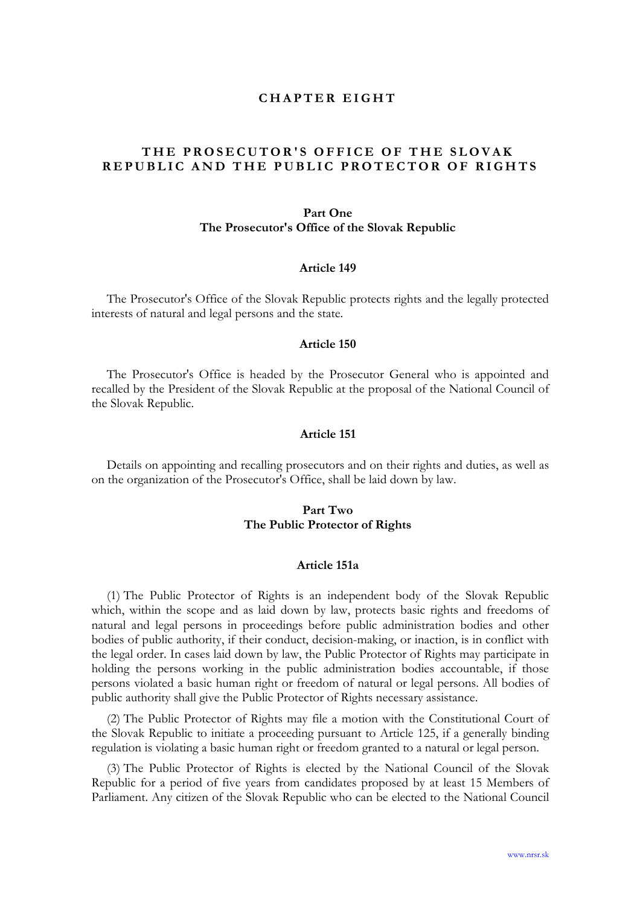## CHAPTER EIGHT

# THE PROSECUTOR'S OFFICE OF THE SLOVAK REPUBLIC AND THE PUBLIC PROTECTOR OF RIGHTS

### Part One

### The Prosecutor's Office of the Slovak Republic

### Article 149

The Prosecutor's Office of the Slovak Republic protects rights and the legally protected interests of natural and legal persons and the state.

#### Article 150

The Prosecutor's Office is headed by the Prosecutor General who is appointed and recalled by the President of the Slovak Republic at the proposal of the National Council of the Slovak Republic.

### Article 151

Details on appointing and recalling prosecutors and on their rights and duties, as well as on the organization of the Prosecutor's Office, shall be laid down by law.

## Part Two The Public Protector of Rights

#### Article 151a

(1) The Public Protector of Rights is an independent body of the Slovak Republic which, within the scope and as laid down by law, protects basic rights and freedoms of natural and legal persons in proceedings before public administration bodies and other bodies of public authority, if their conduct, decision-making, or inaction, is in conflict with the legal order. In cases laid down by law, the Public Protector of Rights may participate in holding the persons working in the public administration bodies accountable, if those persons violated a basic human right or freedom of natural or legal persons. All bodies of public authority shall give the Public Protector of Rights necessary assistance.

(2) The Public Protector of Rights may file a motion with the Constitutional Court of the Slovak Republic to initiate a proceeding pursuant to Article 125, if a generally binding regulation is violating a basic human right or freedom granted to a natural or legal person.

(3) The Public Protector of Rights is elected by the National Council of the Slovak Republic for a period of five years from candidates proposed by at least 15 Members of Parliament. Any citizen of the Slovak Republic who can be elected to the National Council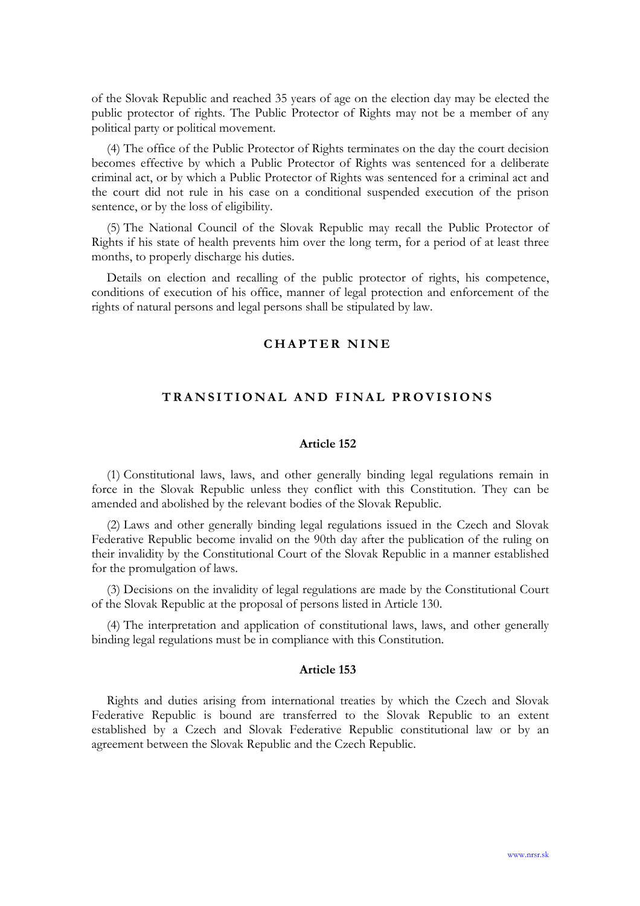of the Slovak Republic and reached 35 years of age on the election day may be elected the public protector of rights. The Public Protector of Rights may not be a member of any political party or political movement.

(4) The office of the Public Protector of Rights terminates on the day the court decision becomes effective by which a Public Protector of Rights was sentenced for a deliberate criminal act, or by which a Public Protector of Rights was sentenced for a criminal act and the court did not rule in his case on a conditional suspended execution of the prison sentence, or by the loss of eligibility.

(5) The National Council of the Slovak Republic may recall the Public Protector of Rights if his state of health prevents him over the long term, for a period of at least three months, to properly discharge his duties.

Details on election and recalling of the public protector of rights, his competence, conditions of execution of his office, manner of legal protection and enforcement of the rights of natural persons and legal persons shall be stipulated by law.

# CHAPTER NINE

# TRANSITIONAL AND FINAL PROVISIONS

### Article 152

(1) Constitutional laws, laws, and other generally binding legal regulations remain in force in the Slovak Republic unless they conflict with this Constitution. They can be amended and abolished by the relevant bodies of the Slovak Republic.

(2) Laws and other generally binding legal regulations issued in the Czech and Slovak Federative Republic become invalid on the 90th day after the publication of the ruling on their invalidity by the Constitutional Court of the Slovak Republic in a manner established for the promulgation of laws.

(3) Decisions on the invalidity of legal regulations are made by the Constitutional Court of the Slovak Republic at the proposal of persons listed in Article 130.

(4) The interpretation and application of constitutional laws, laws, and other generally binding legal regulations must be in compliance with this Constitution.

#### Article 153

Rights and duties arising from international treaties by which the Czech and Slovak Federative Republic is bound are transferred to the Slovak Republic to an extent established by a Czech and Slovak Federative Republic constitutional law or by an agreement between the Slovak Republic and the Czech Republic.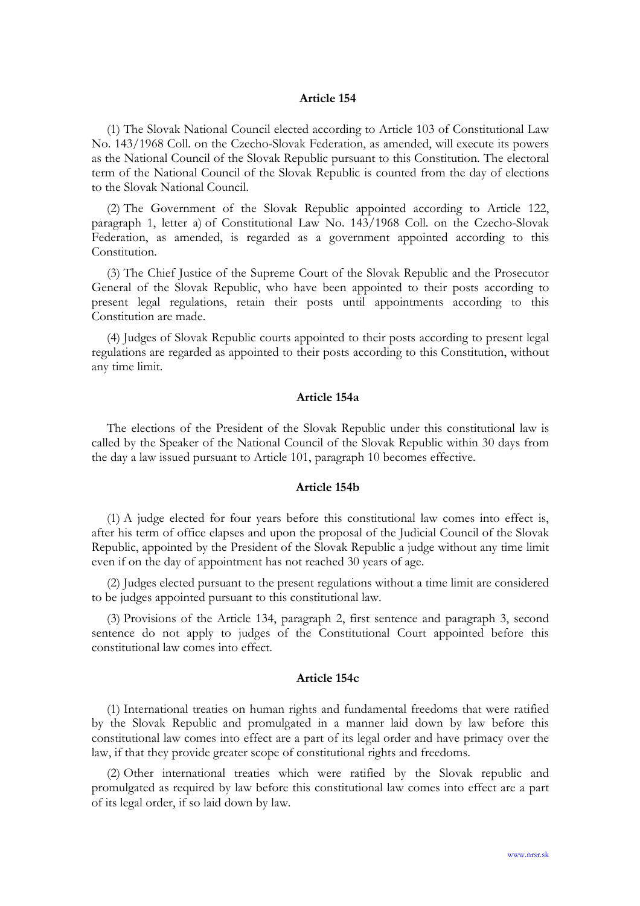(1) The Slovak National Council elected according to Article 103 of Constitutional Law No. 143/1968 Coll. on the Czecho-Slovak Federation, as amended, will execute its powers as the National Council of the Slovak Republic pursuant to this Constitution. The electoral term of the National Council of the Slovak Republic is counted from the day of elections to the Slovak National Council.

(2) The Government of the Slovak Republic appointed according to Article 122, paragraph 1, letter a) of Constitutional Law No. 143/1968 Coll. on the Czecho-Slovak Federation, as amended, is regarded as a government appointed according to this Constitution.

(3) The Chief Justice of the Supreme Court of the Slovak Republic and the Prosecutor General of the Slovak Republic, who have been appointed to their posts according to present legal regulations, retain their posts until appointments according to this Constitution are made.

(4) Judges of Slovak Republic courts appointed to their posts according to present legal regulations are regarded as appointed to their posts according to this Constitution, without any time limit.

## Article 154a

The elections of the President of the Slovak Republic under this constitutional law is called by the Speaker of the National Council of the Slovak Republic within 30 days from the day a law issued pursuant to Article 101, paragraph 10 becomes effective.

## Article 154b

(1) A judge elected for four years before this constitutional law comes into effect is, after his term of office elapses and upon the proposal of the Judicial Council of the Slovak Republic, appointed by the President of the Slovak Republic a judge without any time limit even if on the day of appointment has not reached 30 years of age.

(2) Judges elected pursuant to the present regulations without a time limit are considered to be judges appointed pursuant to this constitutional law.

(3) Provisions of the Article 134, paragraph 2, first sentence and paragraph 3, second sentence do not apply to judges of the Constitutional Court appointed before this constitutional law comes into effect.

## Article 154c

(1) International treaties on human rights and fundamental freedoms that were ratified by the Slovak Republic and promulgated in a manner laid down by law before this constitutional law comes into effect are a part of its legal order and have primacy over the law, if that they provide greater scope of constitutional rights and freedoms.

(2) Other international treaties which were ratified by the Slovak republic and promulgated as required by law before this constitutional law comes into effect are a part of its legal order, if so laid down by law.